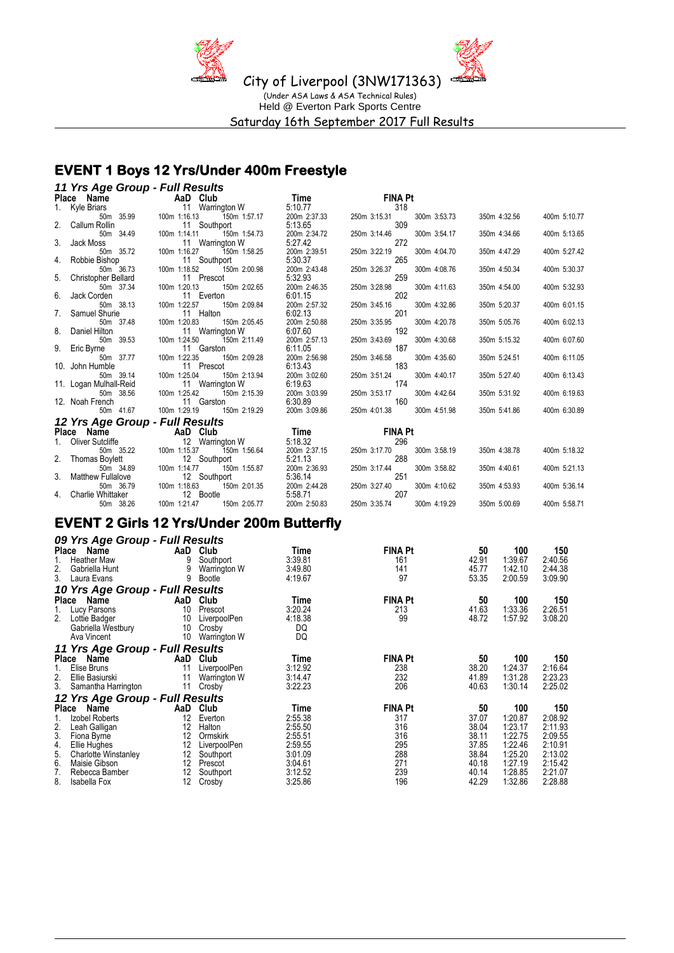

### **EVENT 1 Boys 12 Yrs/Under 400m Freestyle**

| 11 Yrs Age Group - Full Results |                                                                                                   |                         |                                     |              |              |
|---------------------------------|---------------------------------------------------------------------------------------------------|-------------------------|-------------------------------------|--------------|--------------|
|                                 | <b>Place Name</b><br>1. Kyle Briars <b>11</b> Warrington W<br>50m 35.99 100m 1:16.13 150m 1:57.17 | <b>Time</b>             | <b>FINA Pt</b>                      |              |              |
|                                 |                                                                                                   | 5:10.77                 | 318                                 |              |              |
|                                 |                                                                                                   | 200m 2:37.33            | 300m 3:53.73<br>250m 3:15.31        | 350m 4:32.56 | 400m 5:10.77 |
| 2. Callum Rollin                | 11 Southport                                                                                      | 5:13.65                 | 309                                 |              |              |
| 50m 34.49                       | 150m 1:54.73<br>100m 1:14.11                                                                      | 200m 2:34.72            | 250m 3:14.46<br>300m 3:54.17        | 350m 4:34.66 | 400m 5:13.65 |
| 3. Jack Moss                    | 11 Warrington W                                                                                   | 5:27.42                 | 272                                 |              |              |
| 50m 35.72                       | 100m 1:16.27<br>150m 1:58.25                                                                      | 200m 2:39.51            | 250m 3:22.19<br>300m 4:04.70        | 350m 4:47.29 | 400m 5:27.42 |
| 4. Robbie Bishop                | 11 Southport                                                                                      | 5:30.37                 | 265                                 |              |              |
| 50m 36.73                       | 150m 2:00.98<br>100m 1:18.52                                                                      | 200m 2:43.48            | 250m 3:26.37<br>300m 4:08.76        | 350m 4:50.34 | 400m 5:30.37 |
| 5. Christopher Bellard          | 11 Prescot                                                                                        | 5:32.93                 | 259                                 |              |              |
| 50m 37.34                       | 100m 1:20.13<br>150m 2:02.65                                                                      | 200m 2:46.35            | 300m 4:11.63<br>250m 3:28.98<br>202 | 350m 4:54.00 | 400m 5:32.93 |
| 6. Jack Corden<br>50m 38.13     | 11 Everton<br>100m 1:22.57<br>150m 2:09.84                                                        | 6:01.15<br>200m 2:57.32 | 250m 3:45.16<br>300m 4:32.86        | 350m 5:20.37 | 400m 6:01.15 |
| 7. Samuel Shurie                | 11 Halton                                                                                         | 6:02.13                 | 201                                 |              |              |
| 50m 37.48                       | 100m 1:20.83<br>150m 2:05.45                                                                      | 200m 2:50.88            | 250m 3:35.95<br>300m 4:20.78        | 350m 5:05.76 | 400m 6:02.13 |
| 8. Daniel Hilton                | 11 Warrington W                                                                                   | 6:07.60                 | 192                                 |              |              |
| 50m 39.53                       | 100m 1:24.50<br>150m 2:11.49                                                                      | 200m 2:57.13            | 250m 3:43.69<br>300m 4:30.68        | 350m 5:15.32 | 400m 6:07.60 |
| 9. Eric Byrne                   | 11 Garston                                                                                        | 6:11.05                 | 187                                 |              |              |
| 50m 37.77                       | 100m 1:22.35<br>150m 2:09.28                                                                      | 200m 2:56.98            | 250m 3:46.58<br>300m 4:35.60        | 350m 5:24.51 | 400m 6:11.05 |
| 10. John Humble                 | 11 Prescot                                                                                        | 6:13.43                 | 183                                 |              |              |
| 50m 39.14                       | 100m 1:25.04<br>150m 2:13.94                                                                      | 200m 3:02.60            | 250m 3:51.24<br>300m 4:40.17        | 350m 5:27.40 | 400m 6:13.43 |
| 11. Logan Mulhall-Reid          | 11 Warrington W                                                                                   | 6:19.63                 | 174                                 |              |              |
| 50m 38.56                       | 100m 1:25.42<br>150m 2:15.39                                                                      | 200m 3:03.99            | 250m 3:53.17<br>300m 4:42.64        | 350m 5:31.92 | 400m 6:19.63 |
| 12. Noah French                 | 11 Garston                                                                                        | 6:30.89                 | 160                                 |              |              |
| 50m 41.67                       | 100m 1:29.19<br>150m 2:19.29                                                                      | 200m 3:09.86            | 250m 4:01.38<br>300m 4:51.98        | 350m 5:41.86 | 400m 6:30.89 |
| 12 Yrs Age Group - Full Results |                                                                                                   |                         |                                     |              |              |
| Place Name                      | <u>u</u> AaD Club                                                                                 | <b>Time</b>             | <b>FINA Pt</b>                      |              |              |
| 1. Oliver Sutcliffe             | 12 Warrington W                                                                                   | 5:18.32                 | 296                                 |              |              |
| 50m 35.22                       | 100m 1:15.37<br>150m 1:56.64                                                                      | 200m 2:37.15            | 300m 3:58.19<br>250m 3:17.70        | 350m 4:38.78 | 400m 5:18.32 |
| 2. Thomas Boylett               | 12 Southport                                                                                      | 5:21.13                 | 288                                 |              |              |
| 50m 34.89                       | 100m 1:14.77<br>150m 1:55.87                                                                      | 200m 2:36.93            | 300m 3:58.82<br>250m 3:17.44        | 350m 4:40.61 | 400m 5:21.13 |
| 3. Matthew Fullalove            | 12 Southport<br>12 S<br>100m 1:18.63                                                              | 5:36.14                 | 251                                 |              |              |
| 50m 36.79                       | 150m 2:01.35                                                                                      | 200m 2:44.28            | 300m 4:10.62<br>250m 3:27.40        | 350m 4:53.93 | 400m 5:36.14 |
| 4. Charlie Whittaker            | 12 Bootle                                                                                         | 5:58.71                 | 207                                 |              |              |
| 50m 38.26                       | 100m 1:21.47 150m 2:05.77                                                                         | 200m 2:50.83            | 250m 3:35.74<br>300m 4:19.29        | 350m 5:00.69 | 400m 5:58.71 |

## **EVENT 2 Girls 12 Yrs/Under 200m Butterfly**

|              | 09 Yrs Age Group - Full Results |     |                 |         |                |       |         |         |
|--------------|---------------------------------|-----|-----------------|---------|----------------|-------|---------|---------|
|              | Place<br>Name                   |     | AaD Club        | Time    | <b>FINA Pt</b> | 50    | 100     | 150     |
|              | <b>Heather Maw</b>              | 9   | Southport       | 3:39.81 | 161            | 42.91 | 1:39.67 | 2:40.56 |
| 2.           | Gabriella Hunt                  | 9   | Warrington W    | 3:49.80 | 141            | 45.77 | 1:42.10 | 2:44.38 |
| 3.           | Laura Evans                     | 9   | <b>Bootle</b>   | 4:19.67 | 97             | 53.35 | 2:00.59 | 3:09.90 |
|              | 10 Yrs Age Group - Full Results |     |                 |         |                |       |         |         |
| <b>Place</b> | Name                            | AaD | Club            | Time    | <b>FINA Pt</b> | 50    | 100     | 150     |
|              | Lucy Parsons                    | 10  | Prescot         | 3:20.24 | 213            | 41.63 | 1:33.36 | 2:26.51 |
| 2.           | Lottie Badger                   | 10  | LiverpoolPen    | 4:18.38 | 99             | 48.72 | 1:57.92 | 3:08.20 |
|              | Gabriella Westbury              | 10  | Crosby          | DQ      |                |       |         |         |
|              | Ava Vincent                     | 10  | Warrington W    | DQ      |                |       |         |         |
|              | 11 Yrs Age Group - Full Results |     |                 |         |                |       |         |         |
|              | Place<br>Name                   |     | AaD Club        | Time    | <b>FINA Pt</b> | 50    | 100     | 150     |
| 1.           | Elise Bruns                     | 11  | LiverpoolPen    | 3:12.92 | 238            | 38.20 | 1:24.37 | 2:16.64 |
| 2.           | Ellie Basiurski                 | 11  | Warrington W    | 3:14.47 | 232            | 41.89 | 1:31.28 | 2:23.23 |
|              | 3. Samantha Harrington          | 11  | Crosby          | 3:22.23 | 206            | 40.63 | 1:30.14 | 2:25.02 |
|              | 12 Yrs Age Group - Full Results |     |                 |         |                |       |         |         |
|              | Place<br>Name                   | AaD | Club            | Time    | <b>FINA Pt</b> | 50    | 100     | 150     |
|              | Izobel Roberts                  | 12  | Everton         | 2:55.38 | 317            | 37.07 | 1:20.87 | 2:08.92 |
| 2.           | Leah Galligan                   | 12  | Halton          | 2:55.50 | 316            | 38.04 | 1:23.17 | 2:11.93 |
| 3.           | Fiona Byrne                     | 12  | <b>Ormskirk</b> | 2:55.51 | 316            | 38.11 | 1:22.75 | 2:09.55 |
| 4.           | Ellie Hughes                    | 12  | LiverpoolPen    | 2:59.55 | 295            | 37.85 | 1:22.46 | 2:10.91 |
| 5.           | <b>Charlotte Winstanley</b>     | 12  | Southport       | 3:01.09 | 288            | 38.84 | 1:25.20 | 2:13.02 |
| 6.           | Maisie Gibson                   | 12  | Prescot         | 3:04.61 | 271            | 40.18 | 1:27.19 | 2:15.42 |
| 7.           | Rebecca Bamber                  | 12  | Southport       | 3:12.52 | 239            | 40.14 | 1:28.85 | 2:21.07 |
| 8.           | Isabella Fox                    | 12  | Crosby          | 3:25.86 | 196            | 42.29 | 1:32.86 | 2:28.88 |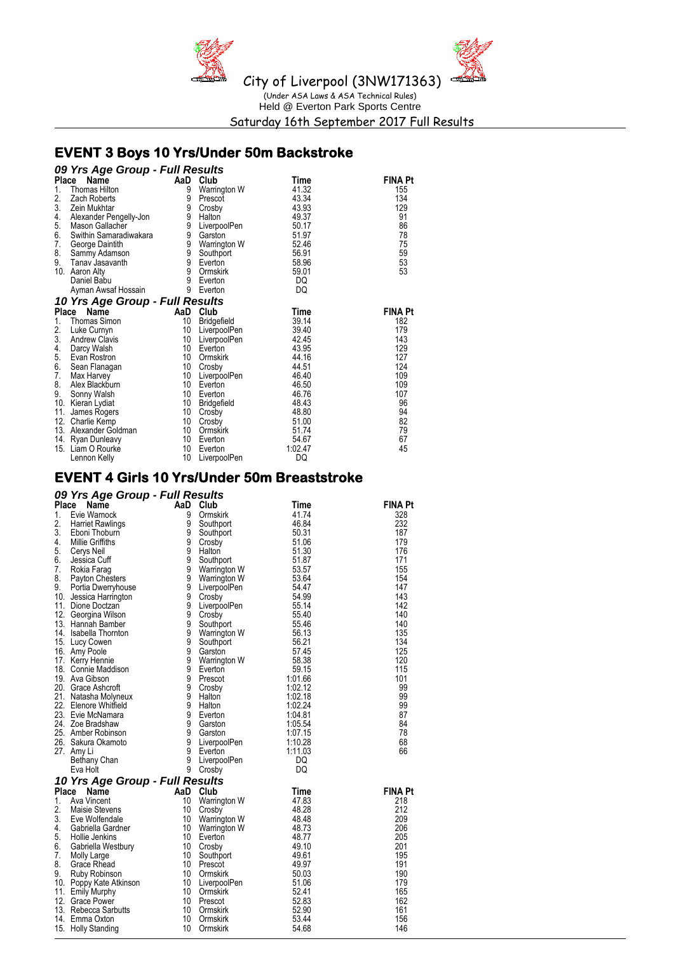

Held @ Everton Park Sports Centre Saturday 16th September 2017 Full Results

### **EVENT 3 Boys 10 Yrs/Under 50m Backstroke**

|                 | 09 Yrs Age Group - Full Results |     |                    |             |                |  |  |  |  |  |
|-----------------|---------------------------------|-----|--------------------|-------------|----------------|--|--|--|--|--|
| Place           | Name                            |     | AaD Club           | Time        | FINA Pt        |  |  |  |  |  |
| 1.              | Thomas Hilton                   | 9   | Warrington W       | 41.32       | 155            |  |  |  |  |  |
| 2.              | Zach Roberts                    | 9   | Prescot            | 43.34       | 134            |  |  |  |  |  |
| 3.              | Zein Mukhtar                    | 9   | Crosby             | 43.93       | 129            |  |  |  |  |  |
| 4.              | Alexander Pengelly-Jon          | 9   | Halton             | 49.37       | 91             |  |  |  |  |  |
| 5.              | Mason Gallacher                 | 9   | LiverpoolPen       | 50.17       | 86             |  |  |  |  |  |
| 6.              | Swithin Samaradiwakara          | 9   | Garston            | 51.97       | 78             |  |  |  |  |  |
| 7.              | George Daintith                 | 9   | Warrington W       | 52.46       | 75             |  |  |  |  |  |
| 8.              | Sammy Adamson                   | 9   | Southport          | 56.91       | 59             |  |  |  |  |  |
| 9.              | Tanav Jasavanth                 | 9   | Everton            | 58.96       | 53             |  |  |  |  |  |
|                 | 10. Aaron Alty                  | 9   | Ormskirk           | 59.01       | 53             |  |  |  |  |  |
|                 | Daniel Babu                     | 9   | Everton            | DQ          |                |  |  |  |  |  |
|                 | Ayman Awsaf Hossain             | 9   | Everton            | DQ          |                |  |  |  |  |  |
|                 | 10 Yrs Age Group - Full Results |     |                    |             |                |  |  |  |  |  |
| Place           | Name                            | AaD | Club               | <b>Time</b> | <b>FINA Pt</b> |  |  |  |  |  |
| 1.              | Thomas Simon                    | 10  | <b>Bridgefield</b> | 39.14       | 182            |  |  |  |  |  |
| $\frac{2}{3}$ . | Luke Curnyn                     | 10  | LiverpoolPen       | 39.40       | 179            |  |  |  |  |  |
|                 | <b>Andrew Clavis</b>            | 10  | LiverpoolPen       | 42.45       | 143            |  |  |  |  |  |
| 4.              | Darcy Walsh                     | 10  | Everton            | 43.95       | 129            |  |  |  |  |  |
| 5.              | Evan Rostron                    | 10  | Ormskirk           | 44.16       | 127            |  |  |  |  |  |
| 6.              | Sean Flanagan                   | 10  | Crosby             | 44.51       | 124            |  |  |  |  |  |
| 7.              | Max Harvey                      | 10  | LiverpoolPen       | 46.40       | 109            |  |  |  |  |  |
| 8.              | Alex Blackburn                  | 10  | Everton            | 46.50       | 109            |  |  |  |  |  |
| 9.              | Sonny Walsh                     | 10  | Everton            | 46.76       | 107            |  |  |  |  |  |
|                 | 10. Kieran Lydiat               | 10  | <b>Bridgefield</b> | 48.43       | 96             |  |  |  |  |  |
| 11.             | James Rogers                    | 10  | Crosby             | 48.80       | 94             |  |  |  |  |  |
|                 | 12. Charlie Kemp                | 10  | Crosby             | 51.00       | 82             |  |  |  |  |  |
|                 | 13. Alexander Goldman           | 10  | Ormskirk           | 51.74       | 79             |  |  |  |  |  |
|                 | 14. Ryan Dunleavy               | 10  | Everton            | 54.67       | 67             |  |  |  |  |  |
|                 | 15. Liam O Rourke               | 10  | Everton            | 1:02.47     | 45             |  |  |  |  |  |
|                 | Lennon Kelly                    | 10  | LiverpoolPen       | DQ          |                |  |  |  |  |  |

### **EVENT 4 Girls 10 Yrs/Under 50m Breaststroke**

### *09 Yrs Age Group - Full Results*

| Place | Name                                       | AaD    | Club               | Time               | <b>FINA Pt</b> |
|-------|--------------------------------------------|--------|--------------------|--------------------|----------------|
| 1.    | Evie Warnock                               | 9      | Ormskirk           | 41.74              | 328            |
| 2.    | <b>Harriet Rawlings</b>                    | 9      | Southport          | 46.84              | 232            |
| 3.    | Eboni Thoburn                              | 9      | Southport          | 50.31              | 187            |
| 4.    | Millie Griffiths                           | 9      | Crosby             | 51.06              | 179            |
| 5.    | Cerys Neil                                 | 9      | Halton             | 51.30              | 176            |
| 6.    | Jessica Cuff                               | 9      | Southport          | 51.87              | 171            |
| 7.    | Rokia Farag                                | 9      | Warrington W       | 53.57              | 155            |
| 8.    | Payton Chesters                            | 9      | Warrington W       | 53.64              | 154            |
| 9.    | Portia Dwerryhouse                         | 9      | LiverpoolPen       | 54.47              | 147            |
|       | 10. Jessica Harrington                     | 9      | Crosby             | 54.99              | 143            |
|       | 11. Dione Doctzan                          | 9      | LiverpoolPen       | 55.14              | 142            |
|       | 12. Georgina Wilson                        | 9      | Crosby             | 55.40              | 140            |
|       | 13. Hannah Bamber                          | 9      | Southport          | 55.46              | 140            |
|       | 14. Isabella Thornton                      | 9      | Warrington W       | 56.13              | 135            |
|       | 15. Lucy Cowen                             | 9      | Southport          | 56.21              | 134            |
|       | 16. Amy Poole                              | 9      | Garston            | 57.45              | 125            |
|       | 17. Kerry Hennie                           | 9      | Warrington W       | 58.38              | 120            |
|       | 18. Connie Maddison                        | 9      | Everton            | 59.15              | 115            |
|       | 19. Ava Gibson                             | 9      | Prescot            | 1:01.66            | 101            |
|       | 20. Grace Ashcroft                         | 9      | Crosby             | 1:02.12            | 99             |
|       | 21. Natasha Molyneux                       | 9      | Halton             | 1:02.18            | 99             |
|       | 22. Elenore Whitfield<br>23. Evie McNamara | 9<br>9 | Halton             | 1:02.24<br>1:04.81 | 99<br>87       |
|       | 24. Zoe Bradshaw                           | 9      | Everton            | 1:05.54            | 84             |
|       | 25. Amber Robinson                         | 9      | Garston<br>Garston | 1:07.15            | 78             |
|       | 26. Sakura Okamoto                         | 9      | LiverpoolPen       | 1:10.28            | 68             |
|       | 27. Amy Li                                 | 9      | Everton            | 1:11.03            | 66             |
|       | Bethany Chan                               | 9      | LiverpoolPen       | DQ                 |                |
|       | Eva Holt                                   | 9      | Crosby             | DQ                 |                |
|       | 10 Yrs Age Group - Full Results            |        |                    |                    |                |
| Place | <b>Name</b>                                | AaD    | Club               | Time               | <b>FINA Pt</b> |
| 1.    | Ava Vincent                                | 10     | Warrington W       | 47.83              | 218            |
| 2.    | Maisie Stevens                             | 10     | Crosby             | 48.28              | 212            |
| 3.    | Eve Wolfendale                             | 10     | Warrington W       | 48.48              | 209            |
| 4.    | Gabriella Gardner                          | 10     | Warrington W       | 48.73              | 206            |
| 5.    | Hollie Jenkins                             | 10     | Everton            | 48.77              | 205            |
| 6.    | Gabriella Westbury                         | 10     | Crosby             | 49.10              | 201            |
| 7.    | Molly Large                                | 10     | Southport          | 49.61              | 195            |
| 8.    | Grace Rhead                                | 10     | Prescot            | 49.97              | 191            |
| 9.    | Ruby Robinson                              | 10     | Ormskirk           | 50.03              | 190            |
|       | 10. Poppy Kate Atkinson                    | 10     | LiverpoolPen       | 51.06              | 179            |
|       | 11. Emily Murphy                           | 10     | Ormskirk           | 52.41              | 165            |
|       | 12. Grace Power                            | 10     | Prescot            | 52.83              | 162            |
|       | 13. Rebecca Sarbutts                       | 10     | <b>Ormskirk</b>    | 52.90              | 161            |
|       | 14. Emma Oxton                             | 10     | Ormskirk           | 53.44              | 156            |
|       | 15. Holly Standing                         | 10     | Ormskirk           | 54.68              | 146            |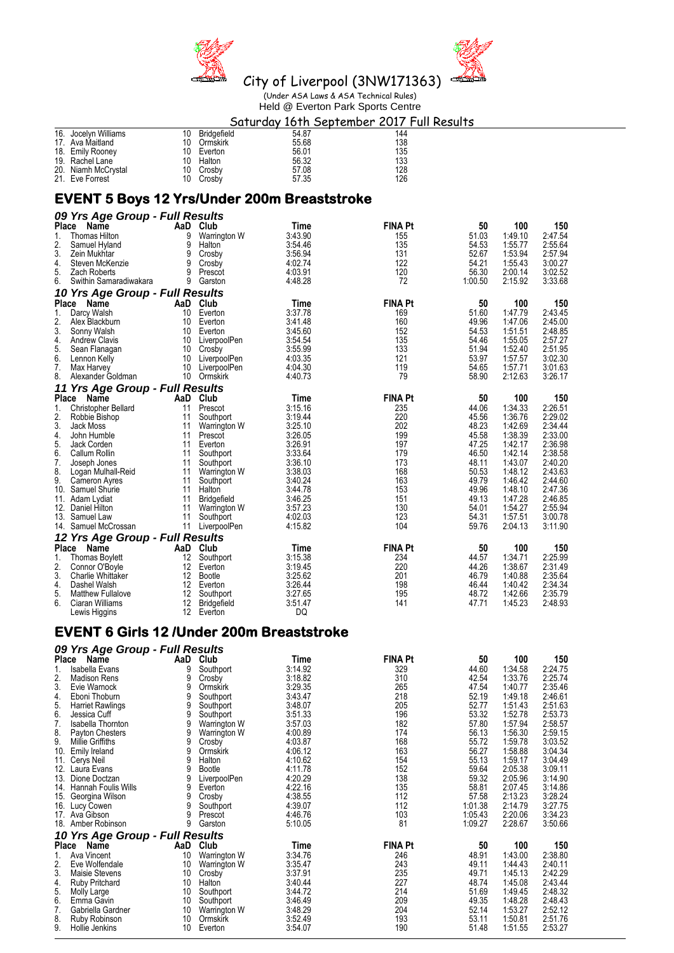



Held @ Everton Park Sports Centre

#### Saturday 16th September 2017 Full Results<br>10 Bridgefield<br>144 144 16. Jocelyn Williams 10 Bridgefield 17. Ava Maitland 11. Ava Maitland 10 Ormskirk 55.68 138 17. Ava Maitland 10 Ormskirk 55.68 138 18. Emily Rooney 10 Everton 56.01 135 19. Rachel Lane 10 Halton 56.32 133 20. Niamh McCrystal 10 Crosby 57.08 128 21. Eve Forrest **EVENT 5 Boys 12 Yrs/Under 200m Breaststroke**  *09 Yrs Age Group - Full Results* **Place Name AaD Club Time FINA Pt 50 100 150** 1. Thomas Hilton 9 Warrington W 3:43.90 155 51.03 1:49.10 2:47.54 2. Samuel Hyland 9 Halton 3:54.46 135 54.53 1:55.77 2:55.64 3. Zein Mukhtar 9 Crosby 3:56.94 131 52.67 1:53.94 2:57.94 4. Steven McKenzie 9 Crosby 4:02.74 122 54.21 1:55.43 3:00.27 5. Zach Roberts 9 Prescot 4:03.91 120 56.30 2:00.14 3:02.52 6. Swithin Samaradiwakara 9 Garston 4:48.28 72 1:00.50 2:15.92 3:33.68 *10 Yrs Age Group - Full Results* **Place Name AaD Club Time FINA Pt 50 100 150**<br>
1. Darcy Walsh 10 Everton **3:37.78 169 51.60 1:47.79 2:43.45**<br>
2. Alex Blackburn 10 Everton 3:41.48 **160 49.96 1:47.06 2:45.00** 1. Darcy Walsh 10 Everton 3:37.78 169 51.60 1:47.79 2:43.45 2. Alex Blackburn 10 Everton 3:41.48 160 49.96 1:47.06 2:45.00 3. Sonny Walsh 10 Everton 3:45.60 152 54.53 1:51.51 2:48.85 4. Andrew Clavis 10 LiverpoolPen 3:54.54 135 54.46 1:55.05 2:57.27 5. Sean Flanagan 10 Crosby 3:55.99 133 51.94 1:52.40 2:51.95<br>5. Sean Flanagan 10 Crosby 3:55.99 133 51.95 51.94 1:52.40 2:51.95 6. Lennon Kelly 10 LiverpoolPen 4:03.35 121 53.97 1:57.57 3:02.30 7. Max Harvey 10 LiverpoolPen 4:04.30 119 54.65 1:57.71 3:01.63 8. Alexander Goldman 10 Ormskirk 4:40.73 79 58.90 2:12.63 3:26.17 *11 Yrs Age Group - Full Results* **Place Name AaD Club Time FINA Pt 50 100 150** 1. Christopher Bellard 11 Prescot 3:15.16 235 44.06 1:34.33 2:26.51 2. Robbie Bishop 11 Southport 3:19.44 220 45.56 1:36.76 2:29.02 3. Jack Moss 11 Warrington W 3:25.10 202 48.23 1:42.69 2:34.44 4. John Humble 11 Prescot 3:26.05 199 45.58 1:38.39 2:33.00 5. Jack Corden 11 Everton 3:26.91 197 47.25 1:42.17 2:36.98 6. Callum Rollin 11 Southport 3:33.64 179 46.50 1:42.14 2:38.58 7. Joseph Jones 11 Southport 3:36.10 173 48.11 1:43.07 2:40.20 8. Logan Mulhall-Reid 11 Warrington W 3:38.03 168 50.53 1:48.12 2:43.63 9. Cameron Ayres 11 Southport 3:40.24 163 49.79 1:46.42 2:44.60 10. Samuel Shurie 11 Halton 3:44.78 153 49.96 1:48.10 2:47.36 11. Adam Lydiat 11 Bridgefield 3:46.25 151 49.13 1:47.28 2:46.85 12. Daniel Hilton 11 Warrington W 3:57.23 130 54.01 1:54.27 2:55.94 13. Samuel Law 11 Southport 4:02.03 123 54.31 1:57.51 3:00.78 14. Samuel McCrossan *12 Yrs Age Group - Full Results* **Place Name AaD Club Time FINA Pt 50 100 150**<br>
1. Thomas Boylett 12 Southport 3:15.38 <br>
2. Connor O'Boyle 12 Everton 3:19.45 <br>
2. Connor O'Boyle 12 Everton 3:19.45 <br>
220 44.26 1:38.67 2:31.49 1. Thomas Boylett 12 Southport 3:15.38 234 44.57 1:34.71 2:25.99 2. Connor O'Boyle 12 Everton 3:19.45 220 44.26 1:38.67 2:31.49 3. Charlie Whittaker 12 Bootle 3:25.62 201 46.79 1:40.88 2:35.64 4. Dashel Walsh 12 Everton 3:26.44 198 46.44 1:40.42 2:34.34 5. Matthew Fullalove 12 Southport 3:27.65 195 48.72 1:42.66 2:35.79 6. Ciaran Williams 12 Bridgefield 3:51.47 141 47.71 1:45.23 2:48.93 Lewis Higgins 12 Everton DQ **EVENT 6 Girls 12 /Under 200m Breaststroke**  *09 Yrs Age Group - Full Results* **Place Name AaD Club Time FINA Pt 50 100 150** 1. Isabella Evans 9 Southport 3:14.92 329 44.60 1:34.58 2:24.75

| 1.    | Isabella Evans                  | 9   | Southport    | 3.14.92 | 329     | 44.60   | 1:34.58 | 2:24.75 |
|-------|---------------------------------|-----|--------------|---------|---------|---------|---------|---------|
| 2.    | <b>Madison Rens</b>             | 9   | Crosby       | 3:18.82 | 310     | 42.54   | 1:33.76 | 2:25.74 |
| 3.    | Evie Warnock                    | 9   | Ormskirk     | 3:29.35 | 265     | 47.54   | 1:40.77 | 2:35.46 |
| 4.    | Eboni Thoburn                   | 9   | Southport    | 3:43.47 | 218     | 52.19   | 1:49.18 | 2:46.61 |
| 5.    | <b>Harriet Rawlings</b>         |     | Southport    | 3:48.07 | 205     | 52.77   | 1:51.43 | 2:51.63 |
| 6.    | Jessica Cuff                    | 9   | Southport    | 3:51.33 | 196     | 53.32   | 1:52.78 | 2:53.73 |
| 7.    | <b>Isabella Thornton</b>        |     | Warrington W | 3:57.03 | 182     | 57.80   | 1:57.94 | 2:58.57 |
| 8.    | Payton Chesters                 | 9   | Warrington W | 4:00.89 | 174     | 56.13   | 1:56.30 | 2:59.15 |
| 9.    | Millie Griffiths                | 9   | Crosby       | 4:03.87 | 168     | 55.72   | 1:59.78 | 3:03.52 |
| 10.   | Emily Ireland                   | 9   | Ormskirk     | 4:06.12 | 163     | 56.27   | 1:58.88 | 3:04.34 |
| 11.   | Cerys Neil                      | 9   | Halton       | 4:10.62 | 154     | 55.13   | 1:59.17 | 3:04.49 |
| 12.   | Laura Evans                     |     | Bootle       | 4:11.78 | 152     | 59.64   | 2:05.38 | 3:09.11 |
| 13.   | Dione Doctzan                   | 9   | LiverpoolPen | 4:20.29 | 138     | 59.32   | 2:05.96 | 3:14.90 |
| 14.   | <b>Hannah Foulis Wills</b>      | 9   | Everton      | 4:22.16 | 135     | 58.81   | 2:07.45 | 3:14.86 |
| 15.   | Georgina Wilson                 | 9   | Crosby       | 4:38.55 | 112     | 57.58   | 2:13.23 | 3:28.24 |
|       | 16. Lucy Cowen                  |     | Southport    | 4:39.07 | 112     | 1:01.38 | 2:14.79 | 3:27.75 |
|       | 17. Ava Gibson                  | 9   | Prescot      | 4:46.76 | 103     | 1:05.43 | 2:20.06 | 3:34.23 |
|       | 18. Amber Robinson              | 9   | Garston      | 5:10.05 | 81      | 1:09.27 | 2:28.67 | 3:50.66 |
|       | 10 Yrs Age Group - Full Results |     |              |         |         |         |         |         |
| Place | Name                            | AaD | Club         | Time    | FINA Pt | 50      | 100     | 150     |
|       | Ava Vincent                     | 10  | Warrington W | 3:34.76 | 246     | 48.91   | 1:43.00 | 2:38.80 |
| 2.    | Eve Wolfendale                  | 10  | Warrington W | 3:35.47 | 243     | 49.11   | 1:44.43 | 2:40.11 |
| 3.    | Maisie Stevens                  | 10  | Crosby       | 3:37.91 | 235     | 49.71   | 1:45.13 | 2:42.29 |
| 4.    | <b>Ruby Pritchard</b>           | 10  | Halton       | 3:40.44 | 227     | 48.74   | 1:45.08 | 2:43.44 |
| 5.    | Molly Large                     | 10  | Southport    | 3:44.72 | 214     | 51.69   | 1:49.45 | 2:48.32 |
| 6.    | Emma Gavin                      | 10  | Southport    | 3:46.49 | 209     | 49.35   | 1:48.28 | 2:48.43 |
| 7.    | Gabriella Gardner               | 10  | Warrington W | 3:48.29 | 204     | 52.14   | 1:53.27 | 2:52.12 |
| 8.    | Ruby Robinson                   | 10  | Ormskirk     | 3:52.49 | 193     | 53.11   | 1:50.81 | 2:51.76 |
| 9.    | Hollie Jenkins                  | 10  | Everton      | 3:54.07 | 190     | 51.48   | 1:51.55 | 2:53.27 |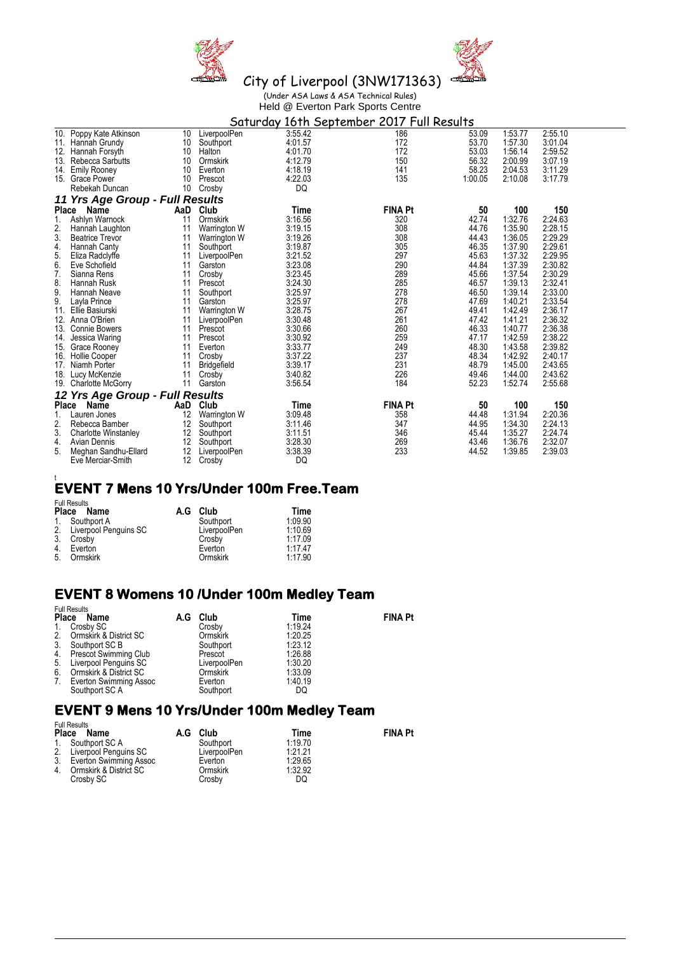



City of Liverpool (3NW171363) (Under ASA Laws & ASA Technical Rules) Held @ Everton Park Sports Centre<br>ndou 16th Sontambon 2017 Full D

|                 | <u>Saturday 16th S</u> eptember 2017 Full Results |     |                     |         |                |         |         |         |  |
|-----------------|---------------------------------------------------|-----|---------------------|---------|----------------|---------|---------|---------|--|
|                 | 10. Poppy Kate Atkinson                           | 10  | LiverpoolPen        | 3:55.42 | 186            | 53.09   | 1:53.77 | 2:55.10 |  |
|                 | 11. Hannah Grundy                                 | 10  | Southport           | 4:01.57 | 172            | 53.70   | 1:57.30 | 3:01.04 |  |
| 12.             | Hannah Forsyth                                    | 10  | Halton              | 4:01.70 | 172            | 53.03   | 1:56.14 | 2:59.52 |  |
| 13.             | Rebecca Sarbutts                                  | 10  | Ormskirk            | 4:12.79 | 150            | 56.32   | 2:00.99 | 3:07.19 |  |
| 14.             | <b>Emily Rooney</b>                               | 10  | Everton             | 4:18.19 | 141            | 58.23   | 2:04.53 | 3:11.29 |  |
| 15.             | <b>Grace Power</b>                                | 10  | Prescot             | 4:22.03 | 135            | 1:00.05 | 2:10.08 | 3:17.79 |  |
|                 | Rebekah Duncan                                    | 10  | Crosby              | DQ      |                |         |         |         |  |
|                 | 11 Yrs Age Group - Full Results                   |     |                     |         |                |         |         |         |  |
| <b>Place</b>    | Name                                              | AaD | Club                | Time    | <b>FINA Pt</b> | 50      | 100     | 150     |  |
| 1.              | Ashlyn Warnock                                    | 11  | Ormskirk            | 3:16.56 | 320            | 42.74   | 1:32.76 | 2:24.63 |  |
| 2.              | Hannah Laughton                                   | 11  | Warrington W        | 3:19.15 | 308            | 44.76   | 1:35.90 | 2:28.15 |  |
| 3.              | <b>Beatrice Trevor</b>                            | 11  | Warrington W        | 3:19.26 | 308            | 44.43   | 1:36.05 | 2:29.29 |  |
| 4.              | Hannah Canty                                      | 11  | Southport           | 3:19.87 | 305            | 46.35   | 1:37.90 | 2:29.61 |  |
| 5.              | Eliza Radclyffe                                   | 11  | LiverpoolPen        | 3:21.52 | 297            | 45.63   | 1:37.32 | 2:29.95 |  |
| 6.              | Eve Schofield                                     | 11  | Garston             | 3:23.08 | 290            | 44.84   | 1:37.39 | 2:30.82 |  |
| 7.              | Sianna Rens                                       | 11  | Crosby              | 3:23.45 | 289            | 45.66   | 1:37.54 | 2:30.29 |  |
| 8.              | Hannah Rusk                                       | 11  | Prescot             | 3:24.30 | 285            | 46.57   | 1:39.13 | 2:32.41 |  |
| 9.              | Hannah Neave                                      | 11  | Southport           | 3:25.97 | 278            | 46.50   | 1:39.14 | 2:33.00 |  |
| 9.              | Layla Prince                                      | 11  | Garston             | 3:25.97 | 278            | 47.69   | 1:40.21 | 2:33.54 |  |
| 11.             | Ellie Basiurski                                   | 11  | <b>Warrington W</b> | 3:28.75 | 267            | 49.41   | 1:42.49 | 2:36.17 |  |
| 12.             | Anna O'Brien                                      | 11  | LiverpoolPen        | 3:30.48 | 261            | 47.42   | 1:41.21 | 2:36.32 |  |
| 13.             | <b>Connie Bowers</b>                              | 11  | Prescot             | 3:30.66 | 260            | 46.33   | 1:40.77 | 2:36.38 |  |
| 14.             | Jessica Waring                                    | 11  | Prescot             | 3:30.92 | 259            | 47.17   | 1:42.59 | 2:38.22 |  |
| 15.             | Grace Rooney                                      | 11  | Everton             | 3:33.77 | 249            | 48.30   | 1:43.58 | 2:39.82 |  |
| 16.             | <b>Hollie Cooper</b>                              | 11  | Crosby              | 3:37.22 | 237            | 48.34   | 1:42.92 | 2:40.17 |  |
| 17 <sub>1</sub> | Niamh Porter                                      | 11  | Bridgefield         | 3:39.17 | 231            | 48.79   | 1:45.00 | 2:43.65 |  |
| 18.             | Lucy McKenzie                                     | 11  | Crosby              | 3:40.82 | 226            | 49.46   | 1:44.00 | 2:43.62 |  |
| 19.             | <b>Charlotte McGorry</b>                          | 11  | Garston             | 3:56.54 | 184            | 52.23   | 1:52.74 | 2:55.68 |  |
|                 | 12 Yrs Age Group - Full Results                   |     |                     |         |                |         |         |         |  |
| Place           | Name                                              | AaD | Club                | Time    | <b>FINA Pt</b> | 50      | 100     | 150     |  |
| 1.              | Lauren Jones                                      | 12  | Warrington W        | 3:09.48 | 358            | 44.48   | 1:31.94 | 2:20.36 |  |
| 2.              | Rebecca Bamber                                    | 12  | Southport           | 3:11.46 | 347            | 44.95   | 1:34.30 | 2:24.13 |  |
| 3.              | <b>Charlotte Winstanley</b>                       | 12  | Southport           | 3:11.51 | 346            | 45.44   | 1:35.27 | 2:24.74 |  |
| 4.              | Avian Dennis                                      | 12  | Southport           | 3:28.30 | 269            | 43.46   | 1:36.76 | 2:32.07 |  |
| 5.              | Meghan Sandhu-Ellard                              | 12  | LiverpoolPen        | 3:38.39 | 233            | 44.52   | 1:39.85 | 2:39.03 |  |
|                 | Eve Merciar-Smith                                 | 12  | Crosby              | DQ      |                |         |         |         |  |

## t **EVENT 7 Mens 10 Yrs/Under 100m Free.Team**

|    | <b>Full Results</b><br>Place Name | A.G | Club         | Time    |
|----|-----------------------------------|-----|--------------|---------|
|    | 1. Southport A                    |     | Southport    | 1:09.90 |
|    | 2. Liverpool Penguins SC          |     | LiverpoolPen | 1:10.69 |
| 3. | Crosby                            |     | Crosby       | 1:17.09 |
| 4. | Everton                           |     | Everton      | 1.17.47 |
| 5. | Ormskirk                          |     | Ormskirk     | 1:17.90 |

### **EVENT 8 Womens 10 /Under 100m Medley Team**

|              | <b>Full Results</b>      |  |              |         |                |  |  |  |  |
|--------------|--------------------------|--|--------------|---------|----------------|--|--|--|--|
| <b>Place</b> | Name                     |  | A.G Club     | Time    | <b>FINA Pt</b> |  |  |  |  |
| 1.           | Crosby SC                |  | Crosby       | 1:19.24 |                |  |  |  |  |
| 2.           | Ormskirk & District SC   |  | Ormskirk     | 1:20.25 |                |  |  |  |  |
| 3.           | Southport SC B           |  | Southport    | 1:23.12 |                |  |  |  |  |
|              | 4. Prescot Swimming Club |  | Prescot      | 1:26.88 |                |  |  |  |  |
| 5.           | Liverpool Penguins SC    |  | LiverpoolPen | 1:30.20 |                |  |  |  |  |
| 6.           | Ormskirk & District SC   |  | Ormskirk     | 1:33.09 |                |  |  |  |  |
| 7.           | Everton Swimming Assoc   |  | Everton      | 1:40.19 |                |  |  |  |  |
|              | Southport SC A           |  | Southport    | DQ      |                |  |  |  |  |

### **EVENT 9 Mens 10 Yrs/Under 100m Medley Team**

| <b>Place</b> | <b>Full Results</b><br>Name | A.G | Club         | Time    | <b>FINA Pt</b> |
|--------------|-----------------------------|-----|--------------|---------|----------------|
|              | 1. Southport SC A           |     | Southport    | 1:19.70 |                |
|              | 2. Liverpool Penguins SC    |     | LiverpoolPen | 1.21.21 |                |
|              | 3. Everton Swimming Assoc   |     | Everton      | 1:29.65 |                |
|              | 4. Ormskirk & District SC   |     | Ormskirk     | 1:32.92 |                |
|              | Crosby SC                   |     | Crosby       | DQ      |                |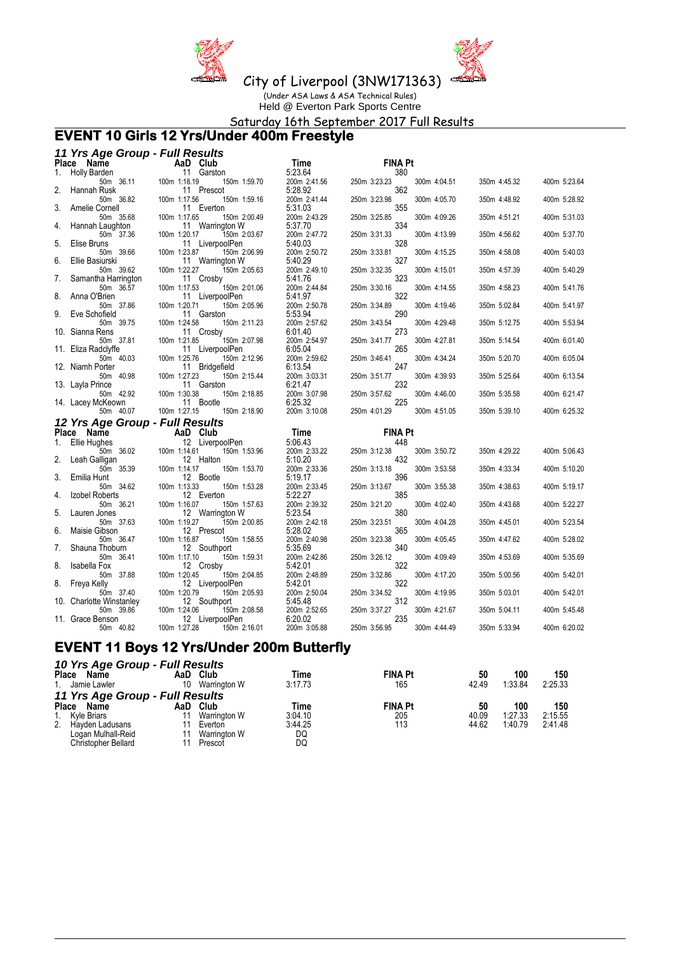



City of Liverpool (3NW171363)

(Under ASA Laws & ASA Technical Rules) Held @ Everton Park Sports Centre

Saturday 16th September 2017 Full Results

### **EVENT 10 Girls 12 Yrs/Under 400m Freestyle**

|    | 11 Yrs Age Group - Full Results       |                                                 |                         |                     |              |              |              |
|----|---------------------------------------|-------------------------------------------------|-------------------------|---------------------|--------------|--------------|--------------|
|    | Place Name                            | AaD Club                                        | Time                    | <b>FINA Pt</b>      |              |              |              |
| 1. | <b>Holly Barden</b>                   | 11 Garston                                      | 5:23.64                 | 380                 |              |              |              |
|    | 50m 36.11                             | 100m 1:18.19<br>150m 1:59.70                    | 200m 2:41.56            | 250m 3:23.23        | 300m 4:04.51 | 350m 4:45.32 | 400m 5:23.64 |
| 2. | Hannah Rusk<br>50m 36.82              | 11 Prescot<br>100m 1:17.56<br>150m 1:59.16      | 5:28.92<br>200m 2:41.44 | 362<br>250m 3:23.98 | 300m 4:05.70 | 350m 4:48.92 | 400m 5:28.92 |
| 3. | Amelie Cornell                        | 11 Everton                                      | 5:31.03                 | 355                 |              |              |              |
|    | 50m 35.68                             | 100m 1:17.65<br>150m 2:00.49                    | 200m 2:43.29            | 250m 3:25.85        | 300m 4:09.26 | 350m 4:51.21 | 400m 5:31.03 |
| 4. | Hannah Laughton                       | 11 Warrington W                                 | 5:37.70                 | 334                 |              |              |              |
| 5. | 50m 37.36<br>Elise Bruns              | 100m 1:20.17<br>150m 2:03.67<br>11 LiverpoolPen | 200m 2:47.72<br>5:40.03 | 250m 3:31.33<br>328 | 300m 4:13.99 | 350m 4:56.62 | 400m 5:37.70 |
|    | 50m 39.66                             | 100m 1:23.87<br>150m 2:06.99                    | 200m 2:50.72            | 250m 3:33.81        | 300m 4:15.25 | 350m 4:58.08 | 400m 5:40.03 |
| 6. | Ellie Basiurski                       | 11 Warrington W                                 | 5:40.29                 | 327                 |              |              |              |
|    | 50m 39.62                             | 100m 1:22.27<br>150m 2:05.63                    | 200m 2:49.10            | 250m 3:32.35        | 300m 4:15.01 | 350m 4:57.39 | 400m 5:40.29 |
| 7. | Samantha Harrington                   | 11 Crosby                                       | 5:41.76                 | 323                 |              |              |              |
| 8. | 50m 36.57<br>Anna O'Brien             | 100m 1:17.53<br>150m 2:01.06<br>11 LiverpoolPen | 200m 2:44.84<br>5:41.97 | 250m 3:30.16<br>322 | 300m 4:14.55 | 350m 4:58.23 | 400m 5:41.76 |
|    | 50m 37.86                             | 100m 1:20.71<br>150m 2:05.96                    | 200m 2:50.78            | 250m 3:34.89        | 300m 4:19.46 | 350m 5:02.84 | 400m 5:41.97 |
| 9. | Eve Schofield                         | 11 Garston                                      | 5:53.94                 | 290                 |              |              |              |
|    | 50m 39.75                             | 100m 1:24.58<br>150m 2:11.23                    | 200m 2:57.62            | 250m 3:43.54        | 300m 4:29.48 | 350m 5:12.75 | 400m 5:53.94 |
|    | 10. Sianna Rens<br>50m 37.81          | 11 Crosby<br>100m 1:21.85<br>150m 2:07.98       | 6:01.40<br>200m 2:54.97 | 273<br>250m 3:41.77 | 300m 4:27.81 | 350m 5:14.54 | 400m 6:01.40 |
|    | 11. Eliza Radclyffe                   | 11 LiverpoolPen                                 | 6:05.04                 | 265                 |              |              |              |
|    | 50m 40.03                             | 100m 1:25.76<br>150m 2:12.96                    | 200m 2:59.62            | 250m 3:46.41        | 300m 4:34.24 | 350m 5:20.70 | 400m 6:05.04 |
|    | 12. Niamh Porter                      | 11 Bridgefield                                  | 6:13.54                 | 247                 |              |              |              |
|    | 50m 40.98                             | 100m 1:27.23<br>150m 2:15.44<br>11 Garston      | 200m 3:03.31            | 250m 3:51.77<br>232 | 300m 4:39.93 | 350m 5:25.64 | 400m 6:13.54 |
|    | 13. Layla Prince<br>50m 42.92         | 100m 1:30.38<br>150m 2:18.85                    | 6:21.47<br>200m 3:07.98 | 250m 3:57.62        | 300m 4:46.00 | 350m 5:35.58 | 400m 6:21.47 |
|    | 14. Lacey McKeown                     | 11 Bootle                                       | 6:25.32                 | 225                 |              |              |              |
|    | 50m 40.07                             | 100m 1:27.15<br>150m 2:18.90                    | 200m 3:10.08            | 250m 4:01.29        | 300m 4:51.05 | 350m 5:39.10 | 400m 6:25.32 |
|    | 12 Yrs Age Group - Full Results       |                                                 |                         |                     |              |              |              |
|    | Place Name                            | AaD Club                                        | Time                    | <b>FINA Pt</b>      |              |              |              |
| 1. | Ellie Hughes                          | 12 LiverpoolPen                                 | 5:06.43<br>200m 2:33.22 | 448                 |              | 350m 4:29.22 |              |
|    | 50m 36.02<br>Leah Galligan            | 100m 1:14.61<br>150m 1:53.96<br>12 Halton       | 5:10.20                 | 250m 3:12.38<br>432 | 300m 3:50.72 |              | 400m 5:06.43 |
|    | 50m 35.39                             | 100m 1:14.17<br>150m 1:53.70                    | 200m 2:33.36            | 250m 3:13.18        | 300m 3:53.58 | 350m 4:33.34 | 400m 5:10.20 |
| 3. | Emilia Hunt                           | 12 Bootle                                       | 5:19.17                 | 396                 |              |              |              |
|    | 50m 34.62                             | 100m 1:13.33<br>150m 1:53.28                    | 200m 2:33.45            | 250m 3:13.67        | 300m 3:55.38 | 350m 4:38.63 | 400m 5:19.17 |
| 4. | Izobel Roberts<br>50m 36.21           | 12 Everton<br>100m 1:16.07<br>150m 1:57.63      | 5:22.27<br>200m 2:39.32 | 385<br>250m 3:21.20 | 300m 4:02.40 | 350m 4:43.68 | 400m 5:22.27 |
| 5. | Lauren Jones                          | 12 Warrington W                                 | 5:23.54                 | 380                 |              |              |              |
|    | 50m 37.63                             | 100m 1:19.27<br>150m 2:00.85                    | 200m 2:42.18            | 250m 3:23.51        | 300m 4:04.28 | 350m 4:45.01 | 400m 5:23.54 |
| 6. | Maisie Gibson                         | 12 Prescot                                      | 5:28.02                 | 365                 |              |              |              |
|    | 50m 36.47                             | 100m 1:16.87<br>150m 1:58.55                    | 200m 2:40.98            | 250m 3:23.38<br>340 | 300m 4:05.45 | 350m 4:47.62 | 400m 5:28.02 |
| 7. | Shauna Thoburn<br>50m 36.41           | 12 Southport<br>100m 1:17.10<br>150m 1:59.31    | 5:35.69<br>200m 2:42.86 | 250m 3:26.12        | 300m 4:09.49 | 350m 4:53.69 | 400m 5:35.69 |
| 8. | Isabella Fox                          | 12 Crosby                                       | 5:42.01                 | 322                 |              |              |              |
|    | 50m 37.88                             | 100m 1:20.45<br>150m 2:04.85                    | 200m 2:48.89            | 250m 3:32.86        | 300m 4:17.20 | 350m 5:00.56 | 400m 5:42.01 |
| 8. | Freya Kelly                           | 12 LiverpoolPen                                 | 5:42.01                 | 322                 |              |              |              |
|    | 50m 37.40<br>10. Charlotte Winstanley | 100m 1:20.79<br>150m 2:05.93<br>12 Southport    | 200m 2:50.04<br>5:45.48 | 250m 3:34.52<br>312 | 300m 4:19.95 | 350m 5:03.01 | 400m 5:42.01 |
|    | 50m 39.86                             | 100m 1:24.06<br>150m 2:08.58                    | 200m 2:52.65            | 250m 3:37.27        | 300m 4:21.67 | 350m 5:04.11 | 400m 5:45.48 |
|    | 11. Grace Benson                      | 12 LiverpoolPen                                 | 6:20.02                 | 235                 |              |              |              |
|    | 50m 40.82                             | 100m 1:27.28<br>150m 2:16.01                    | 200m 3:05.88            | 250m 3:56.95        | 300m 4:44.49 | 350m 5:33.94 | 400m 6:20.02 |

# **EVENT 11 Boys 12 Yrs/Under 200m Butterfly**

|              | 10 Yrs Age Group - Full Results |     |              |         |                |       |         |         |  |  |
|--------------|---------------------------------|-----|--------------|---------|----------------|-------|---------|---------|--|--|
| <b>Place</b> | Name                            | AaD | Club         | Time    | <b>FINA Pt</b> | 50    | 100     | 150     |  |  |
|              | 1. Jamie Lawler                 | 10  | Warrington W | 3:17.73 | 165            | 42.49 | 1:33.84 | 2:25.33 |  |  |
|              | 11 Yrs Age Group - Full Results |     |              |         |                |       |         |         |  |  |
| Place        | Name                            | AaD | Club         | Time    | <b>FINA Pt</b> | 50    | 100     | 150     |  |  |
|              | 1. Kyle Briars                  |     | Warrington W | 3:04.10 | 205            | 40.09 | 1:27.33 | 2:15.55 |  |  |
|              | 2. Hayden Ladusans              |     | Everton      | 3:44.25 | 113            | 44.62 | 1:40.79 | 2:41.48 |  |  |
|              | Logan Mulhall-Reid              |     | Warrington W | DQ      |                |       |         |         |  |  |
|              | <b>Christopher Bellard</b>      |     | Prescot      | DQ      |                |       |         |         |  |  |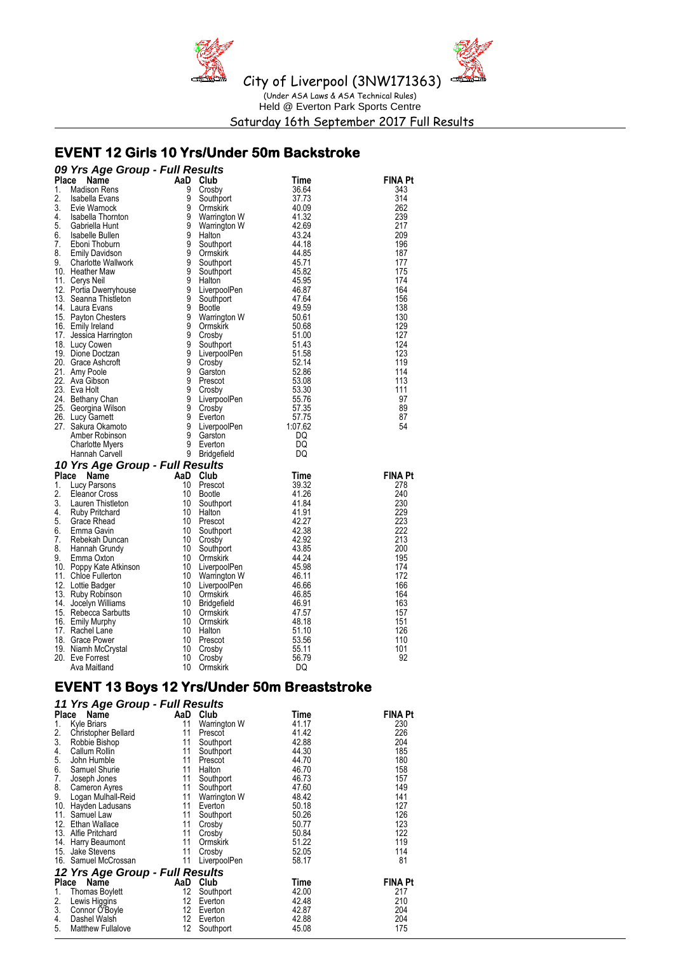

Saturday 16th September 2017 Full Results

# **EVENT 12 Girls 10 Yrs/Under 50m Backstroke**

|    | 09 Yrs Age Group - Full Results                                                                                                                                                                                                                        |                                    |                                                                            |             |                |
|----|--------------------------------------------------------------------------------------------------------------------------------------------------------------------------------------------------------------------------------------------------------|------------------------------------|----------------------------------------------------------------------------|-------------|----------------|
|    | <b>CO Same State Comparison Control Control Control Control Control Control Control Control Control Control Control Control Control Control Control Control Control Control Control Control Control Control Control Control Cont</b>                   |                                    |                                                                            | Time        | FINA Pt        |
|    |                                                                                                                                                                                                                                                        |                                    | Crosby                                                                     | 36.64       | 343            |
|    |                                                                                                                                                                                                                                                        |                                    | Southport                                                                  | 37.73       | 314            |
|    |                                                                                                                                                                                                                                                        |                                    | Ormskirk                                                                   | 40.09       | 262            |
|    |                                                                                                                                                                                                                                                        |                                    |                                                                            | 41.32       | 239            |
|    |                                                                                                                                                                                                                                                        |                                    | Warrington W<br>Warrington W<br>Halton                                     | 42.69       | 217            |
|    |                                                                                                                                                                                                                                                        |                                    |                                                                            |             |                |
|    |                                                                                                                                                                                                                                                        |                                    |                                                                            | 43.24       | 209            |
|    |                                                                                                                                                                                                                                                        |                                    | Southport                                                                  | 44.18       | 196            |
|    |                                                                                                                                                                                                                                                        |                                    | Ormskirk                                                                   | 44.85       | 187            |
|    |                                                                                                                                                                                                                                                        |                                    | Southport                                                                  | 45.71       | 177            |
|    |                                                                                                                                                                                                                                                        |                                    | Southport                                                                  | 45.82       | 175            |
|    |                                                                                                                                                                                                                                                        |                                    | Halton<br>LiverpoolPen<br>Anort                                            | 45.95       | 174            |
|    |                                                                                                                                                                                                                                                        |                                    |                                                                            | 46.87       | 164            |
|    |                                                                                                                                                                                                                                                        |                                    |                                                                            | 47.64       | 156            |
|    |                                                                                                                                                                                                                                                        |                                    | Bootle<br>Warrington W<br>Completing                                       | 49.59       | 138            |
|    |                                                                                                                                                                                                                                                        |                                    |                                                                            | 50.61       | 130            |
|    |                                                                                                                                                                                                                                                        |                                    |                                                                            | 50.68       | 129            |
|    |                                                                                                                                                                                                                                                        |                                    | Crosby                                                                     | 51.00       | 127            |
|    |                                                                                                                                                                                                                                                        |                                    | Southport                                                                  | 51.43       | 124            |
|    | 19. Dione Doctzan                                                                                                                                                                                                                                      |                                    | 9 LiverpoolPen                                                             | 51.58       | 123            |
|    | 20. Grace Ashcrott                                                                                                                                                                                                                                     | 9                                  |                                                                            | 52.14       | 119            |
|    |                                                                                                                                                                                                                                                        |                                    |                                                                            | 52.86       | 114            |
|    |                                                                                                                                                                                                                                                        |                                    |                                                                            | 53.08       | 113            |
|    | 21. Amy Poole<br>22. Ava Gibson<br>23. Eva Holt<br>24. Bethany Chan<br>25. Georgina Wilson<br>26. Lucy Gamett<br>26. Lucy Gamett<br>27. Sakura Okamoto<br>Amber Robinson<br>Charlotte Myers<br>Hannah Carvell<br>20. Poster Charlotte Myers<br>29. Ban |                                    | Crosby<br>Garston<br>Prescot<br>Crosby<br>LiverpoolPen<br>Crosby<br>Crosby | 53.30       | 111            |
|    |                                                                                                                                                                                                                                                        |                                    |                                                                            | 55.76       | 97             |
|    |                                                                                                                                                                                                                                                        |                                    | 9 Crosby                                                                   | 57.35       | 89             |
|    |                                                                                                                                                                                                                                                        |                                    | 9 Everton                                                                  | 57.75       | 87             |
|    |                                                                                                                                                                                                                                                        |                                    | 9 LiverpoolPen                                                             | 1:07.62     | 54             |
|    |                                                                                                                                                                                                                                                        |                                    | Garston                                                                    | DQ          |                |
|    |                                                                                                                                                                                                                                                        |                                    | Everton                                                                    | DQ          |                |
|    |                                                                                                                                                                                                                                                        |                                    | 9 Bridgefield                                                              | DQ          |                |
|    | 10 Yrs Age Group - Full Results                                                                                                                                                                                                                        |                                    |                                                                            |             |                |
|    | Place<br>Name                                                                                                                                                                                                                                          |                                    |                                                                            | <b>Time</b> | <b>FINA Pt</b> |
| 1. |                                                                                                                                                                                                                                                        | AaD Club<br>10 Presco<br>10 Bootle |                                                                            | 39.32       | 278            |
|    | Lucy Parsons                                                                                                                                                                                                                                           |                                    | Prescot<br>10 Bootle                                                       |             |                |
| 2. | Eleanor Cross                                                                                                                                                                                                                                          |                                    |                                                                            | 41.26       | 240            |
| 3. |                                                                                                                                                                                                                                                        | 10                                 | Southport<br>Ushtar                                                        | 41.84       | 230            |
| 4. |                                                                                                                                                                                                                                                        |                                    | 10 Halton                                                                  | 41.91       | 229            |
| 5. |                                                                                                                                                                                                                                                        |                                    | 10 Prescot                                                                 | 42.27       | 223            |
| 6. | Learnor Cross<br>Lauren Thistleton<br>Ruby Pritchard<br>Emma Gavin<br>Hannah Grundy<br>Hannah Grundy<br>Emma Oxton                                                                                                                                     | 10                                 | Southport                                                                  | 42.38       | 222            |
| 7. |                                                                                                                                                                                                                                                        |                                    | 10 Crosby                                                                  | 42.92       | 213            |
| 8. | Hannah Grundy                                                                                                                                                                                                                                          |                                    | 10 Southport                                                               | 43.85       | 200            |
| 9. | 9. Lemma Oxton<br>10. Poppy Kate Atkinson<br>11. Chloe Fullerton<br>12. Lottie Badger<br>14. Iocelyn Williams                                                                                                                                          |                                    | 10 Ormskirk                                                                | 44.24       | 195            |
|    |                                                                                                                                                                                                                                                        |                                    |                                                                            | 45.98       | 174            |
|    |                                                                                                                                                                                                                                                        |                                    |                                                                            | 46.11       | 172            |
|    |                                                                                                                                                                                                                                                        |                                    | 10 LiverpoolPen<br>10 Warrington W<br>10 LiverpoolPen<br>10 LiverpoolPen   | 46.66       | 166            |
|    |                                                                                                                                                                                                                                                        |                                    | 10 Ormskirk                                                                | 46.85       | 164            |
|    | 14. Jocelyn Williams                                                                                                                                                                                                                                   |                                    | 10 Bridgefield                                                             | 46.91       | 163            |
|    | 15. Rebecca Sarbutts                                                                                                                                                                                                                                   | 10                                 | Ormskirk                                                                   | 47.57       | 157            |
|    | 16. Emily Murphy                                                                                                                                                                                                                                       | 10                                 | Ormskirk                                                                   | 48.18       | 151            |
|    | 17. Rachel Lane                                                                                                                                                                                                                                        |                                    | 10 Halton                                                                  | 51.10       | 126            |
|    | 18. Grace Power                                                                                                                                                                                                                                        | 10                                 | Prescot                                                                    | 53.56       | 110            |
|    | 19.   Niamh McCrystal<br>20.   Eve Forrest                                                                                                                                                                                                             | 10                                 | Crosby                                                                     | 55.11       | 101            |
|    | 20. Eve Forrest                                                                                                                                                                                                                                        | 10                                 | Crosby                                                                     | 56.79       | 92             |
|    | Ava Maitland                                                                                                                                                                                                                                           | 10                                 | <b>Ormskirk</b>                                                            | DQ          |                |

## **EVENT 13 Boys 12 Yrs/Under 50m Breaststroke**

|       | 11 Yrs Age Group - Full Results |     |                 |       |                |  |  |
|-------|---------------------------------|-----|-----------------|-------|----------------|--|--|
| Place | Name                            | AaD | Club            | Time  | FINA Pt        |  |  |
| 1.    | Kyle Briars                     | 11  | Warrington W    | 41.17 | 230            |  |  |
| 2.    | Christopher Bellard             | 11  | Prescot         | 41.42 | 226            |  |  |
| 3.    | Robbie Bishop                   | 11  | Southport       | 42.88 | 204            |  |  |
| 4.    | Callum Rollin                   | 11  | Southport       | 44.30 | 185            |  |  |
| 5.    | John Humble                     | 11  | Prescot         | 44.70 | 180            |  |  |
| 6.    | Samuel Shurie                   | 11  | Halton          | 46.70 | 158            |  |  |
| 7.    | Joseph Jones                    | 11  | Southport       | 46.73 | 157            |  |  |
| 8.    | Cameron Ayres                   | 11  | Southport       | 47.60 | 149            |  |  |
| 9.    | Logan Mulhall-Reid              | 11  | Warrington W    | 48.42 | 141            |  |  |
| 10.   | Hayden Ladusans                 | 11  | Everton         | 50.18 | 127            |  |  |
| 11.   | Samuel Law                      | 11  | Southport       | 50.26 | 126            |  |  |
| 12.   | Ethan Wallace                   | 11  | Crosby          | 50.77 | 123            |  |  |
| 13.   | Alfie Pritchard                 | 11  | Crosby          | 50.84 | 122            |  |  |
| 14.   | Harry Beaumont                  | 11  | <b>Ormskirk</b> | 51.22 | 119            |  |  |
| 15.   | Jake Stevens                    | 11  | Crosby          | 52.05 | 114            |  |  |
|       | 16. Samuel McCrossan            | 11  | LiverpoolPen    | 58.17 | 81             |  |  |
|       | 12 Yrs Age Group - Full Results |     |                 |       |                |  |  |
| Place | Name                            | AaD | Club            | Time  | <b>FINA Pt</b> |  |  |
| 1.    | <b>Thomas Boylett</b>           | 12  | Southport       | 42.00 | 217            |  |  |
| 2.    | Lewis Higgins                   | 12  | Everton         | 42.48 | 210            |  |  |
| 3.    | Connor O'Boyle                  | 12  | Everton         | 42.87 | 204            |  |  |
| 4.    | Dashel Walsh                    | 12  | Everton         | 42.88 | 204            |  |  |
| 5.    | <b>Matthew Fullalove</b>        | 12  | Southport       | 45.08 | 175            |  |  |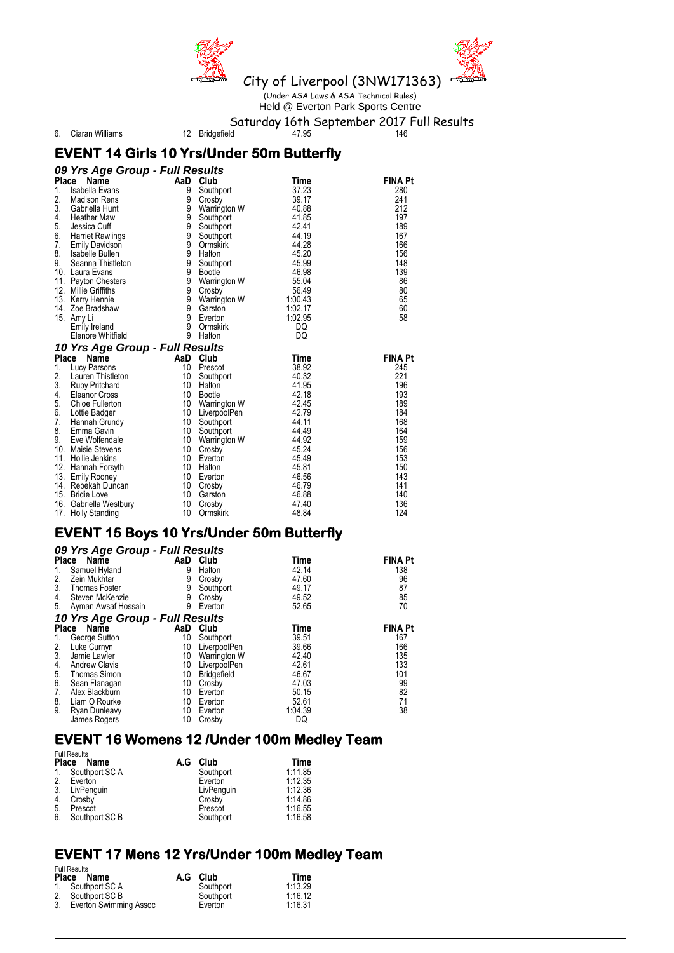



Held @ Everton Park Sports Centre

Saturday 16th September 2017 Full Results<br>12 Bridgefield<br>146

6. Ciaran Williams

### **EVENT 14 Girls 10 Yrs/Under 50m Butterfly**

#### *09 Yrs Age Group - Full Results* **Place Name AaD Club Time**<br> **AaD Club Time**<br> **FINA Pt**<br> **Place Name PRINA Pt**<br> **Place Name AaD Club Time**<br> **FINA Pt** 1. Isabella Evans 9 Southport 37.23 280 2. Madison Rens 9 Crosby 39.17 241 3. Gabriella Hunt 9 Warrington W 40.88<br>
Heather Maw 9 Southport 41.85 4. Heather Maw 9 Southport 41.85 197<br>
5. Jessica Cuff 9 Southport 42.41 189<br>
6. Harriet Rawlings 9 Southport 44.19 189<br>
7. Emily Davidson 9 Ormskirk 44.28 166 Southport 12.41<br>
1676 Harriet Rawlings 167<br>
Emily Davidson 167<br>
167<br>
168<br>
19 Ormskirk 144.28 Francis Rawlings 167 (167 Southport 144.19 167 167 168 Minutes)<br>
Emily Davidson 166 9 Ormskirk 144.28 166 7. Emily Davidson 9 Ormskirk 44.28 166 8. Isabelle Bullen 9 Halton 45.20 156 9. Seanna Thistleton 9 Southport 45.99 148 10. Laura Evans 9 Bootle 46.98 139 11. Payton Chesters 9 Warrington W 55.04 86 11. Payton Chesters **12. In the Contract Control of Contract Contract Contract Contract Contract Contract Contract Contract Contract Contract Contract Contract Contract Contract Contract Contract Contract Contract Contract** 13. Kerry Hennie 9 Warrington W 1:00.43 65 14. Zoe Bradshaw 9 Garston 1:02.17 60 15. Amy Li 9 Everton 1:02.95 58 Emily Ireland 9 Ormskirk Channel Box 19 Ormskirk Channel Box<br>Elenore Whitfield 9 Halton DQ Elenore Whitfield *10 Yrs Age Group - Full Results* **Place Name AaD Club Time FINA Pt**<br>
1. Lucy Parsons 10 Prescot 38.92 245<br>
2. Lauren Thistleton 10 Southport 40.32 221 1. Lucy Parsons 10 Prescot<br>
2. Lauren Thistleton 10 Southport 2. Lauren Thistleton 10 Southport 10.32 221<br>3. Ruby Pritchard 10 Halton 10 41.95 41.95 3. Ruby Pritchard 10 Halton 10 Halton 41.95 196<br>4. Eleanor Cross 10 Bootle 42.18 196 4. Eleanor Cross 10 Bootle 42.18 193 5. Chloe Fullerton 10 Warrington W 42.45 189<br>
6. Lottie Badger 10 LiverpoolPen 42.79 184 6. Lottie Badger 10 LiverpoolPen 42.79 184 7. Hannah Grundy 10 Southport 144.11 168<br>
8. Emma Gavin 10 Southport 144.49 164<br>
9. Eve Wolfendale 10 Warrington W 144.92 159<br>
10 Crosby 15.24 156 8. Emma Gavin (10 Southport 10 44.49)<br>
9. Eve Wolfendale (10 10 Warrington W 44.92<br>
10 Crosby (10 45.24 Eve Wolfendale **10** Warrington W 44.92<br>Maisie Stevens 10 Crosby 45.24 10. Maisie Stevens 10 Crosby 45.24 156 11. Hollie Jenkins 10 Everton 16.45.49 153<br>
12. Hannah Forsyth 10 Halton 16.81 150<br>
13. Emily Rooney 10 Everton 16.56 143 12. Hannah Forsyth 10 Halton 10 + 45.81 150<br>13. Emily Rooney 10 10 Everton 145.56 143 13. Emily Rooney 10 Everton 10 Forton 46.56 143<br>
Rebekah Duncan 10 Crosby 11 46.79 141 14. Rebekah Duncan 10 Crosby 46.79 141 15. Bridie Love 10 Garston 46.88 140 11. Gabriella Westbury 10 Crosby 11. 47.40<br>11. Gabriella Westbury 11. 10. Grmskirk 11. 48.84 16. Gabriella Wesu<br>17. Holly Standing

## **EVENT 15 Boys 10 Yrs/Under 50m Butterfly**

|       | 09 Yrs Age Group - Full Results |     |              |         |                |  |  |  |
|-------|---------------------------------|-----|--------------|---------|----------------|--|--|--|
|       | Place<br>Name                   | AaD | Club         | Time    | <b>FINA Pt</b> |  |  |  |
| 1.    | Samuel Hyland                   | 9   | Halton       | 42.14   | 138            |  |  |  |
| 2.    | Zein Mukhtar                    | 9   | Crosby       | 47.60   | 96             |  |  |  |
| 3.    | <b>Thomas Foster</b>            | 9   | Southport    | 49.17   | 87             |  |  |  |
| 4.    | Steven McKenzie                 | 9   | Crosby       | 49.52   | 85             |  |  |  |
| 5.    | Ayman Awsaf Hossain             | 9   | Everton      | 52.65   | 70             |  |  |  |
|       | 10 Yrs Age Group - Full Results |     |              |         |                |  |  |  |
| Place | <b>Name</b>                     | AaD | Club         | Time    | <b>FINA Pt</b> |  |  |  |
| 1.    | George Sutton                   | 10  | Southport    | 39.51   | 167            |  |  |  |
| 2.    | Luke Curnyn                     | 10  | LiverpoolPen | 39.66   | 166            |  |  |  |
| 3.    | Jamie Lawler                    | 10  | Warrington W | 42.40   | 135            |  |  |  |
| 4.    | <b>Andrew Clavis</b>            | 10  | LiverpoolPen | 42.61   | 133            |  |  |  |
| 5.    | <b>Thomas Simon</b>             | 10  | Bridgefield  | 46.67   | 101            |  |  |  |
| 6.    | Sean Flanagan                   | 10  | Crosby       | 47.03   | 99             |  |  |  |
| 7.    | Alex Blackburn                  | 10  | Everton      | 50.15   | 82             |  |  |  |
| 8.    | Liam O Rourke                   | 10  | Everton      | 52.61   | 71             |  |  |  |
| 9.    | <b>Ryan Dunleavy</b>            | 10  | Everton      | 1:04.39 | 38             |  |  |  |
|       | James Rogers                    | 10  | Crosby       | DQ      |                |  |  |  |

### **EVENT 16 Womens 12 /Under 100m Medley Team**

| <b>Full Results</b><br>A.G<br><b>Place</b><br>Name |                |  | Club       | Time    |
|----------------------------------------------------|----------------|--|------------|---------|
| 1.                                                 | Southport SC A |  | Southport  | 1:11.85 |
| 2.                                                 | Everton        |  | Everton    | 1:12.35 |
| 3.                                                 | LivPenguin     |  | LivPenguin | 1:12.36 |
| 4.                                                 | Crosby         |  | Crosby     | 1:14.86 |
| 5.                                                 | Prescot        |  | Prescot    | 1:16.55 |
| 6.                                                 | Southport SC B |  | Southport  | 1:16.58 |

### **EVENT 17 Mens 12 Yrs/Under 100m Medley Team**

Full Results

|    | טווטטטווייט<br>Place Name | A.G Club  | Time    |
|----|---------------------------|-----------|---------|
|    | 1. Southport SC A         | Southport | 1:13.29 |
|    | 2. Southport SC B         | Southport | 1:16.12 |
| 3. | Everton Swimming Assoc    | Everton   | 1:16.31 |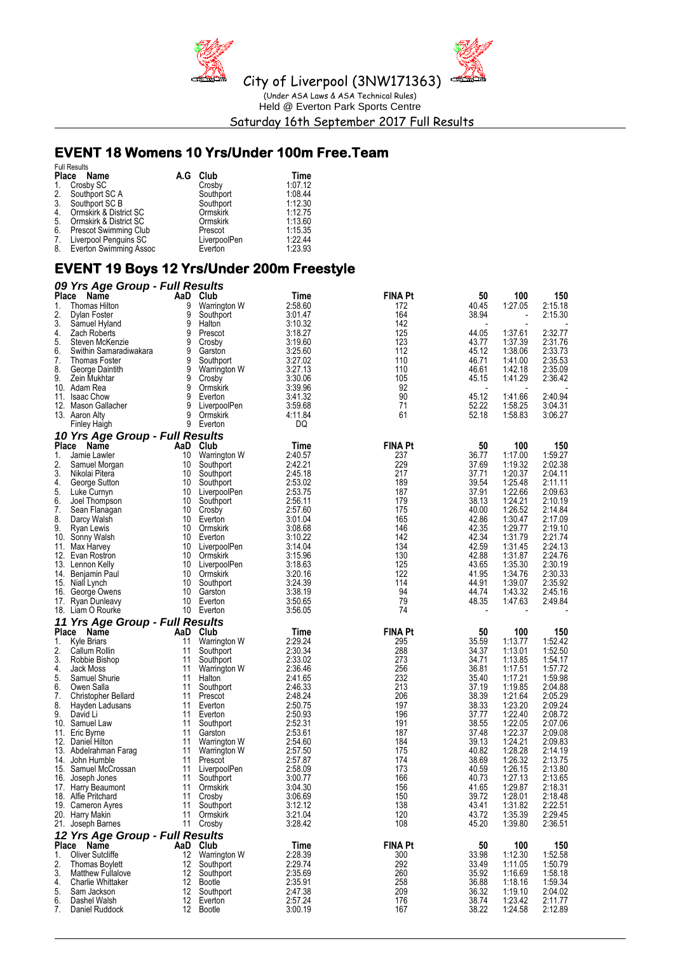



(Under ASA Laws & ASA Technical Rules) Held @ Everton Park Sports Centre Saturday 16th September 2017 Full Results

## **EVENT 18 Womens 10 Yrs/Under 100m Free.Team**

|    | <b>Full Results</b>       |     |                 |         |  |
|----|---------------------------|-----|-----------------|---------|--|
|    | Place Name                | A.G | Club            | Time    |  |
|    | 1. Crosby SC              |     | Crosby          | 1:07.12 |  |
|    | 2. Southport SC A         |     | Southport       | 1:08.44 |  |
|    | 3. Southport SC B         |     | Southport       | 1:12.30 |  |
| 4. | Ormskirk & District SC    |     | <b>Ormskirk</b> | 1:12.75 |  |
| 5. | Ormskirk & District SC    |     | Ormskirk        | 1:13.60 |  |
|    | 6. Prescot Swimming Club  |     | Prescot         | 1:15.35 |  |
| 7. | Liverpool Penguins SC     |     | LiverpoolPen    | 1:22.44 |  |
|    | 8. Everton Swimming Assoc |     | Everton         | 1:23.93 |  |

## **EVENT 19 Boys 12 Yrs/Under 200m Freestyle**

|          | 09 Yrs Age Group - Full Results          |          |                             |                    |                |                          |                          |                    |
|----------|------------------------------------------|----------|-----------------------------|--------------------|----------------|--------------------------|--------------------------|--------------------|
| Place    | Name                                     | AaD      | Club                        | Time               | <b>FINA Pt</b> | 50                       | 100                      | 150                |
| 1.       | Thomas Hilton                            | 9        | Warrington W                | 2:58.60            | 172            | 40.45                    | 1:27.05                  | 2:15.18            |
| 2.       | Dylan Foster                             | 9        | Southport                   | 3:01.47            | 164            | 38.94                    | $\overline{\phantom{a}}$ | 2:15.30            |
| 3.       | Samuel Hyland<br>Zach Roberts            | 9<br>9   | Halton<br>Prescot           | 3:10.32<br>3:18.27 | 142<br>125     | 44.05                    | 1:37.61                  | 2:32.77            |
| 4.<br>5. | Steven McKenzie                          | 9        | Crosby                      | 3:19.60            | 123            | 43.77                    | 1:37.39                  | 2:31.76            |
| 6.       | Swithin Samaradiwakara                   | 9        | Garston                     | 3:25.60            | 112            | 45.12                    | 1:38.06                  | 2:33.73            |
| 7.       | <b>Thomas Foster</b>                     | 9        | Southport                   | 3:27.02            | 110            | 46.71                    | 1:41.00                  | 2:35.53            |
| 8.       | George Daintith                          | 9        | Warrington W                | 3:27.13            | 110            | 46.61                    | 1:42.18                  | 2:35.09            |
| 9.       | Zein Mukhtar                             | 9        | Crosby                      | 3:30.06            | 105            | 45.15                    | 1:41.29                  | 2:36.42            |
|          | 10. Adam Rea                             | 9        | Ormskirk                    | 3:39.96            | 92             |                          |                          |                    |
|          | 11. Isaac Chow                           | 9        | Everton                     | 3:41.32            | 90             | 45.12                    | 1:41.66                  | 2:40.94            |
|          | 12. Mason Gallacher                      | 9        | LiverpoolPen                | 3:59.68            | 71             | 52.22                    | 1:58.25                  | 3:04.31            |
|          | 13. Aaron Alty                           | 9        | Ormskirk                    | 4:11.84            | 61             | 52.18                    | 1:58.83                  | 3:06.27            |
|          | <b>Finley Haigh</b>                      |          | 9 Everton                   | DQ                 |                |                          |                          |                    |
|          | 10 Yrs Age Group - Full Results<br>Place |          | AaD Club                    | Time               | <b>FINA Pt</b> | 50                       | 100                      | 150                |
| 1.       | Name<br>Jamie Lawler                     | 10       | Warrington W                | 2:40.57            | 237            | 36.77                    | 1:17.00                  | 1:59.27            |
| 2.       | Samuel Morgan                            | 10       | Southport                   | 2:42.21            | 229            | 37.69                    | 1:19.32                  | 2:02.38            |
| 3.       | Nikolai Pitera                           | 10       | Southport                   | 2:45.18            | 217            | 37.71                    | 1:20.37                  | 2:04.11            |
| 4.       | George Sutton                            | 10       | Southport                   | 2:53.02            | 189            | 39.54                    | 1:25.48                  | 2:11.11            |
| 5.       | Luke Curnyn                              | 10       | LiverpoolPen                | 2:53.75            | 187            | 37.91                    | 1:22.66                  | 2:09.63            |
| 6.       | Joel Thompson                            | 10       | Southport                   | 2:56.11            | 179            | 38.13                    | 1:24.21                  | 2:10.19            |
| 7.       | Sean Flanagan                            | 10       | Crosby                      | 2:57.60            | 175            | 40.00                    | 1:26.52                  | 2:14.84            |
| 8.       | Darcy Walsh                              | 10       | Everton                     | 3:01.04            | 165            | 42.86                    | 1:30.47                  | 2:17.09            |
| 9.       | <b>Ryan Lewis</b>                        | 10       | Ormskirk                    | 3:08.68            | 146            | 42.35                    | 1:29.77                  | 2:19.10            |
|          | 10. Sonny Walsh                          | 10       | Everton                     | 3:10.22            | 142            | 42.34                    | 1:31.79                  | 2:21.74            |
|          | 11. Max Harvey                           | 10       | LiverpoolPen                | 3:14.04            | 134            | 42.59                    | 1:31.45<br>1:31.87       | 2:24.13<br>2:24.76 |
|          | 12. Evan Rostron<br>13. Lennon Kelly     | 10       | Ormskirk<br>10 LiverpoolPen | 3:15.96<br>3:18.63 | 130<br>125     | 42.88<br>43.65           | 1:35.30                  | 2:30.19            |
|          | 14. Benjamin Paul                        | 10       | Ormskirk                    | 3:20.16            | 122            | 41.95                    | 1:34.76                  | 2:30.33            |
|          | 15. Niall Lynch                          | 10       | Southport                   | 3:24.39            | 114            | 44.91                    | 1:39.07                  | 2:35.92            |
|          | 16. George Owens                         | 10       | Garston                     | 3:38.19            | 94             | 44.74                    | 1:43.32                  | 2:45.16            |
|          | 17. Ryan Dunleavy                        | 10       | Everton                     | 3:50.65            | 79             | 48.35                    | 1:47.63                  | 2:49.84            |
|          | 18. Liam O Rourke                        |          | 10 Everton                  | 3:56.05            | 74             | $\overline{\phantom{a}}$ |                          |                    |
|          | 11 Yrs Age Group - Full Results          |          |                             |                    |                |                          |                          |                    |
|          | Place Name                               | AaD      | Club                        | Time               | <b>FINA Pt</b> | 50                       | 100                      | 150                |
| 1.       | <b>Kyle Briars</b>                       | 11       | Warrington W                | 2:29.24            | 295            | 35.59                    | 1:13.77                  | 1:52.42            |
| 2.       | Callum Rollin                            | 11       | Southport                   | 2:30.34            | 288            | 34.37                    | 1:13.01                  | 1:52.50            |
| 3.       | Robbie Bishop                            | 11       | Southport                   | 2:33.02            | 273            | 34.71                    | 1:13.85                  | 1:54.17            |
| 4.<br>5. | Jack Moss                                | 11<br>11 | Warrington W                | 2:36.46<br>2:41.65 | 256<br>232     | 36.81<br>35.40           | 1:17.51<br>1:17.21       | 1:57.72<br>1:59.98 |
| 6.       | Samuel Shurie<br>Owen Salla              | 11       | Halton<br>Southport         | 2:46.33            | 213            | 37.19                    | 1:19.85                  | 2:04.88            |
| 7.       | <b>Christopher Bellard</b>               | 11       | Prescot                     | 2:48.24            | 206            | 38.39                    | 1:21.64                  | 2:05.29            |
| 8.       | Hayden Ladusans                          | 11       | Everton                     | 2:50.75            | 197            | 38.33                    | 1:23.20                  | 2:09.24            |
| 9.       | David Li                                 | 11       | Everton                     | 2:50.93            | 196            | 37.77                    | 1:22.40                  | 2:08.72            |
|          | 10. Samuel Law                           | 11       | Southport                   | 2:52.31            | 191            | 38.55                    | 1:22.05                  | 2:07.06            |
|          | 11. Eric Byrne                           | 11       | Garston                     | 2:53.61            | 187            | 37.48                    | 1:22.37                  | 2:09.08            |
|          | 12. Daniel Hilton                        | 11       | Warrington W                | 2:54.60            | 184            | 39.13                    | 1:24.21                  | 2:09.83            |
|          | 13. Abdelrahman Farag                    | 11       | Warrington W                | 2:57.50            | 175            | 40.82                    | 1:28.28                  | 2:14.19            |
|          | 14. John Humble                          | 11       | Prescot                     | 2:57.87            | 174            | 38.69                    | 1:26.32                  | 2:13.75            |
|          | 15. Samuel McCrossan<br>16. Joseph Jones | 11<br>11 | LiverpoolPen                | 2:58.09<br>3:00.77 | 173<br>166     | 40.59<br>40.73           | 1:26.15<br>1:27.13       | 2:13.80<br>2:13.65 |
|          | 17. Harry Beaumont                       | 11       | Southport<br>Ormskirk       | 3:04.30            | 156            | 41.65                    | 1:29.87                  | 2:18.31            |
|          | 18. Alfie Pritchard                      | 11       | Crosby                      | 3:06.69            | 150            | 39.72                    | 1:28.01                  | 2:18.48            |
|          | 19. Cameron Ayres                        | 11       | Southport                   | 3:12.12            | 138            | 43.41                    | 1:31.82                  | 2:22.51            |
|          | 20. Harry Makin                          | 11       | Ormskirk                    | 3:21.04            | 120            | 43.72                    | 1:35.39                  | 2:29.45            |
|          | 21. Joseph Barnes                        | 11       | Crosby                      | 3:28.42            | 108            | 45.20                    | 1:39.80                  | 2:36.51            |
|          | 12 Yrs Age Group - Full Results          |          |                             |                    |                |                          |                          |                    |
|          | Place Name                               |          | AaD Club                    | <b>Time</b>        | <b>FINA Pt</b> | 50                       | 100                      | 150                |
| 1.       | <b>Oliver Sutcliffe</b>                  | 12       | Warrington W                | 2:28.39            | 300            | 33.98                    | 1:12.30                  | 1:52.58            |
| 2.       | <b>Thomas Boylett</b>                    | 12       | Southport                   | 2:29.74            | 292            | 33.49                    | 1:11.05                  | 1:50.79            |
| 3.       | <b>Matthew Fullalove</b>                 | 12       | Southport                   | 2:35.69            | 260            | 35.92                    | 1:16.69                  | 1:58.18            |
| 4.       | <b>Charlie Whittaker</b>                 | 12       | <b>Bootle</b>               | 2:35.91            | 258            | 36.88                    | 1:18.16                  | 1:59.34            |
| 5.<br>6. | Sam Jackson<br>Dashel Walsh              | 12<br>12 | Southport<br>Everton        | 2:47.38<br>2:57.24 | 209<br>176     | 36.32<br>38.74           | 1:19.10<br>1:23.42       | 2:04.02<br>2:11.77 |
| 7.       | Daniel Ruddock                           |          | 12 Bootle                   | 3:00.19            | 167            | 38.22                    | 1:24.58                  | 2:12.89            |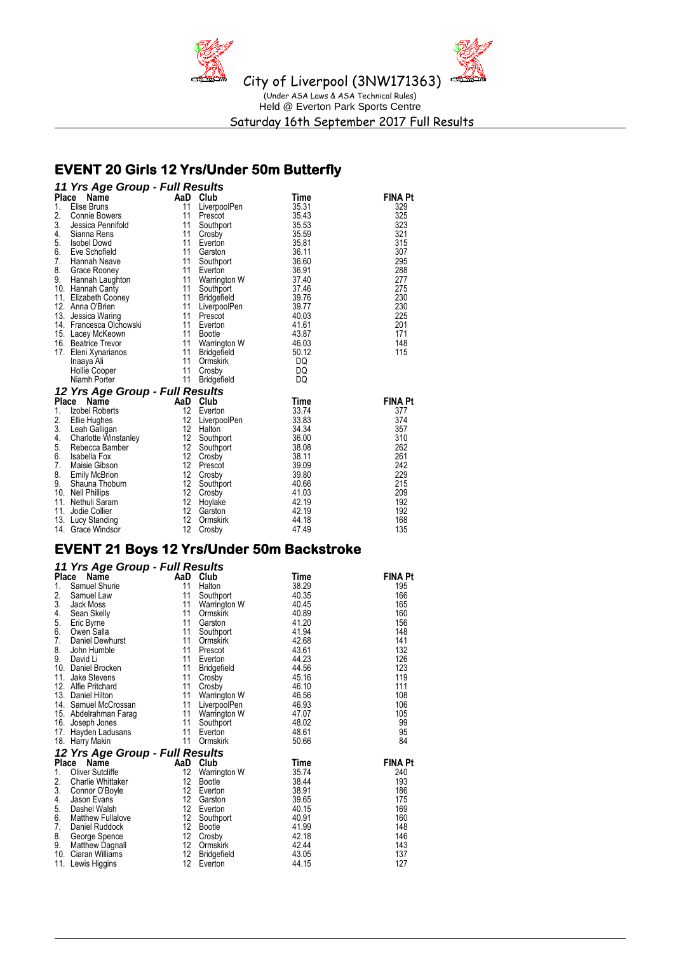

## **EVENT 20 Girls 12 Yrs/Under 50m Butterfly**

|              | 11 Yrs Age Group - Full Results |                 |                    |             |                |
|--------------|---------------------------------|-----------------|--------------------|-------------|----------------|
|              | Place<br><b>Name</b>            | AaD Club        |                    | Time        | <b>FINA Pt</b> |
| 1.           | Elise Bruns                     | 11              | LiverpoolPen       | 35.31       | 329            |
| 2.           | Connie Bowers                   | 11              | Prescot            | 35.43       | 325            |
| 3.           | Jessica Pennifold               | 11              | Southport          | 35.53       | 323            |
| 4.           | Sianna Rens                     | 11              | Crosby             | 35.59       | 321            |
| 5.           | <b>Isobel Dowd</b>              | 11              | Everton            | 35.81       | 315            |
| 6.           | Eve Schofield                   | 11              | Garston            | 36.11       | 307            |
| 7.           | Hannah Neave                    | 11              | Southport          | 36.60       | 295            |
| 8.           | Grace Rooney                    | 11              | Everton            | 36.91       | 288            |
| 9.           | Hannah Laughton                 | 11              | Warrington W       | 37.40       | 277            |
|              | 10. Hannah Canty                | 11              | Southport          | 37.46       | 275            |
|              | 11. Elizabeth Cooney            | 11              | <b>Bridgefield</b> | 39.76       | 230            |
|              | 12. Anna O'Brien                | 11              | LiverpoolPen       | 39.77       | 230            |
| 13.          | Jessica Waring                  | 11              | Prescot            | 40.03       | 225            |
| 14.          | Francesca Olchowski             | 11              | Everton            | 41.61       | 201            |
|              | 15. Lacey McKeown               | 11              | <b>Bootle</b>      | 43.87       | 171            |
|              | 16. Beatrice Trevor             | 11              | Warrington W       | 46.03       | 148            |
|              | 17. Eleni Xynarianos            | 11              | <b>Bridgefield</b> | 50.12       | 115            |
|              | Inaaya Ali                      | 11              | Ormskirk           | DQ          |                |
|              | <b>Hollie Cooper</b>            | 11              | Crosby             | DQ          |                |
|              | Niamh Porter                    | 11              | <b>Bridgefield</b> | DQ          |                |
|              | 12 Yrs Age Group - Full Results |                 |                    |             |                |
| <b>Place</b> | Name                            | AaD             | Club               | <b>Time</b> | <b>FINA Pt</b> |
| 1.           | Izobel Roberts                  | 12              | Everton            | 33.74       | 377            |
| 2.           | <b>Ellie Hughes</b>             | 12              | LiverpoolPen       | 33.83       | 374            |
| 3.           | Leah Galligan                   | 12              | Halton             | 34.34       | 357            |
| 4.           | Charlotte Winstanley            | 12 <sup>°</sup> | Southport          | 36.00       | 310            |
| 5.           | Rebecca Bamber                  | 12              | Southport          | 38.08       | 262            |
| 6.           | Isabella Fox                    | 12 <sup>2</sup> | Crosby             | 38.11       | 261            |
| 7.           | Maisie Gibson                   | 12              | Prescot            | 39.09       | 242            |
| 8.           | <b>Emily McBrion</b>            | 12              | Crosby             | 39.80       | 229            |
| 9.           | Shauna Thoburn                  | 12              | Southport          | 40.66       | 215            |
|              | 10. Nell Phillips               | 12              | Crosby             | 41.03       | 209            |
| 11.          | Nethuli Saram                   | 12              | Hoylake            | 42.19       | 192            |
| 11.          | Jodie Collier                   | 12              | Garston            | 42.19       | 192            |
| 13.          | Lucy Standing                   | 12              | Ormskirk           | 44.18       | 168            |
|              | 14. Grace Windsor               | 12              | Crosby             | 47.49       | 135            |
|              |                                 |                 |                    |             |                |

# **EVENT 21 Boys 12 Yrs/Under 50m Backstroke**

|     | 11 Yrs Age Group - Full Results |                 |                    |       |                |
|-----|---------------------------------|-----------------|--------------------|-------|----------------|
|     | Place<br>Name                   |                 | AaD Club           | Time  | <b>FINA Pt</b> |
| 1.  | Samuel Shurie                   | 11              | Halton             | 38.29 | 195            |
| 2.  | Samuel Law                      | 11              | Southport          | 40.35 | 166            |
| 3.  | Jack Moss                       | 11              | Warrington W       | 40.45 | 165            |
| 4.  | Sean Skelly                     | 11              | Ormskirk           | 40.89 | 160            |
| 5.  | Eric Byrne                      | 11              | Garston            | 41.20 | 156            |
| 6.  | Owen Salla                      | 11              | Southport          | 41.94 | 148            |
| 7.  | <b>Daniel Dewhurst</b>          | 11              | Ormskirk           | 42.68 | 141            |
| 8.  | John Humble                     | 11              | Prescot            | 43.61 | 132            |
| 9.  | David Li                        | 11              | Everton            | 44.23 | 126            |
|     | 10. Daniel Brocken              | 11              | <b>Bridgefield</b> | 44.56 | 123            |
| 11. | <b>Jake Stevens</b>             | 11              | Crosby             | 45.16 | 119            |
| 12. | Alfie Pritchard                 | 11              | Crosby             | 46.10 | 111            |
| 13. | Daniel Hilton                   | 11              | Warrington W       | 46.56 | 108            |
|     | 14. Samuel McCrossan            | 11              | LiverpoolPen       | 46.93 | 106            |
|     | 15. Abdelrahman Farag           | 11              | Warrington W       | 47.07 | 105            |
|     | 16. Joseph Jones                | 11              | Southport          | 48.02 | 99             |
| 17. | Hayden Ladusans                 | 11              | Everton            | 48.61 | 95             |
|     | 18. Harry Makin                 | 11              | Ormskirk           | 50.66 | 84             |
|     | 12 Yrs Age Group - Full Results |                 |                    |       |                |
|     | Place<br>Name                   | AaD             | Club               | Time  | <b>FINA Pt</b> |
| 1.  | <b>Oliver Sutcliffe</b>         | 12              | Warrington W       | 35.74 | 240            |
| 2.  | Charlie Whittaker               | 12              | <b>Bootle</b>      | 38.44 | 193            |
| 3.  | Connor O'Boyle                  | 12              | Everton            | 38.91 | 186            |
| 4.  | Jason Evans                     | 12              | Garston            | 39.65 | 175            |
| 5.  | Dashel Walsh                    | 12              | Everton            | 40.15 | 169            |
| 6.  | <b>Matthew Fullalove</b>        | 12 <sup>°</sup> | Southport          | 40.91 | 160            |
| 7.  | Daniel Ruddock                  | 12 <sup>°</sup> | Bootle             | 41.99 | 148            |
| 8.  | George Spence                   | 12              | Crosby             | 42.18 | 146            |
| 9.  | <b>Matthew Dagnall</b>          | 12              | Ormskirk           | 42.44 | 143            |
|     | 10. Ciaran Williams             | 12              | <b>Bridgefield</b> | 43.05 | 137            |
|     | 11. Lewis Higgins               | 12              | Everton            | 44.15 | 127            |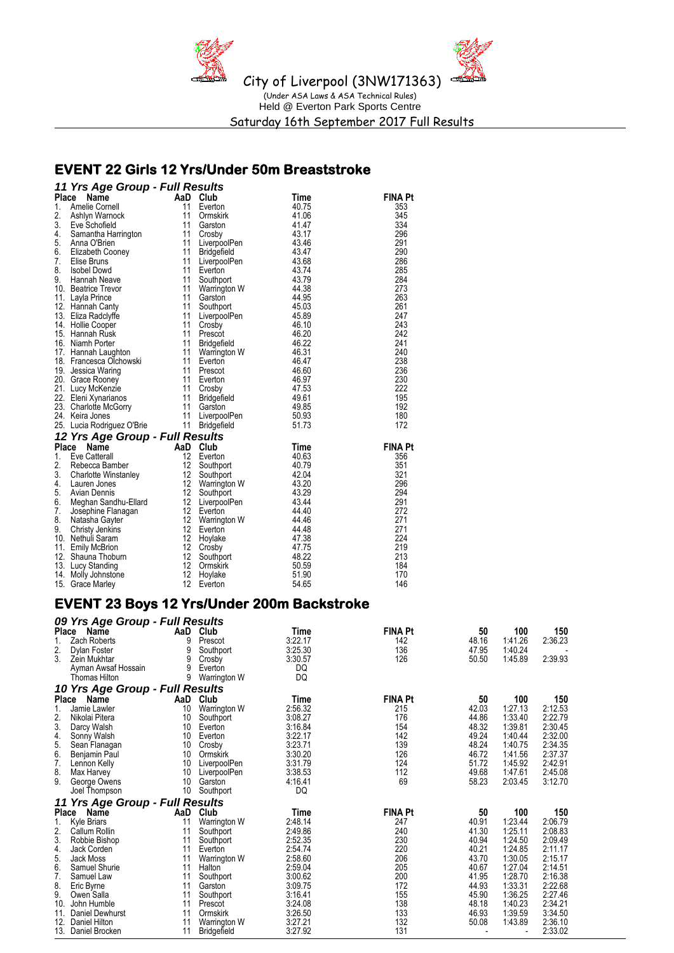

## **EVENT 22 Girls 12 Yrs/Under 50m Breaststroke**

|              | 11 Yrs Age Group - Full Results                                                 |                       |                         |                |                |
|--------------|---------------------------------------------------------------------------------|-----------------------|-------------------------|----------------|----------------|
| <b>Place</b> | Name                                                                            | AaD                   | Club                    | <b>Time</b>    | <b>FINA Pt</b> |
|              | ranelle Cornell<br>2. – Ashlyn Warnock<br>3. – Eve Schofield                    | 11                    | Everton                 | 40.75          | 353            |
|              |                                                                                 | 11                    | Ormskirk                | 41.06          | 345            |
|              |                                                                                 | 11                    | Garston                 | 41.47          | 334            |
| 4.           | Samantha Harrington<br>Anna O'Brien                                             | 11                    | Crosby                  | 43.17          | 296            |
|              | 5. Anna O'Brien                                                                 | 11                    | LiverpoolPen            | 43.46          | 291            |
| 6.           | Elizabeth Cooney<br>Elise Bruns                                                 | 11                    | <b>Bridgefield</b>      | 43.47          | 290            |
| 7.           | Elise Bruns                                                                     | 11                    | LiverpoolPen            | 43.68          | 286            |
| 8.           | <b>Isobel Dowd</b>                                                              | 11                    | Everton                 | 43.74          | 285            |
| 9.           | Hannah Neave                                                                    | 11                    | Southport               | 43.79          | 284            |
|              | 10. Beatrice Trevor                                                             | 11                    | Warrington W            | 44.38          | 273            |
|              | 11. Layla Prince                                                                | 11                    | Garston                 | 44.95          | 263            |
|              | 12. Hannah Canty                                                                | 11                    | Southport               | 45.03          | 261            |
|              | 13. Eliza Radclyffe                                                             | 11                    | LiverpoolPen            | 45.89          | 247            |
|              | 14. Hollie Cooper                                                               | 11                    | Crosby                  | 46.10          | 243            |
|              | 15. Hannah Rusk                                                                 | 11                    | Prescot                 | 46.20          | 242            |
|              | 16. Niamh Porter                                                                | 11                    | <b>Bridgefield</b>      | 46.22          | 241            |
|              | 17. Hannah Laughton                                                             | 11                    | Warrington W<br>Everton | 46.31          | 240            |
|              | 18. Francesca Olchowski                                                         | 11                    | Everton                 | 46.47          | 238            |
|              | 19. Jessica Waring                                                              | 11                    | Prescot                 | 46.60          | 236            |
|              | 20. Grace Rooney                                                                |                       | 11 Everton              | 46.97          | 230            |
|              | 21. Lucy McKenzie                                                               | 11                    | Crosby                  | 47.53          | 222            |
|              |                                                                                 | 11                    | Bridgefield             | 49.61          | 195            |
|              |                                                                                 | 11                    | Garston                 | 49.85          | 192            |
|              |                                                                                 | 11                    | LiverpoolPen            | 50.93          | 180            |
|              | 25. Lucia Rodriguez O'Brie                                                      |                       | 11 Bridgefield          | 51.73          | 172            |
|              | 12 Yrs Age Group - Full Results                                                 |                       |                         |                |                |
|              | Place<br>Name                                                                   | AaD Club<br>12 Fvertr |                         | Time           | <b>FINA Pt</b> |
| 1.           | Eve Catterall                                                                   |                       | Everton                 | 40.63          | 356            |
| 2.           | Rebecca Bamber<br>2. Repecta Daniso.<br>3. Charlotte Winstanley<br>19095. Lange | 12                    | Southport               | 40.79          | 351            |
|              |                                                                                 | 12                    | Southport               | 42.04          | 321            |
|              |                                                                                 | 12                    | Warrington W            | 43.20          | 296            |
| 5.           | Avian Dennis                                                                    | 12<br>12              | Southport               | 43.29          | 294            |
| 6.<br>7.     | Meghan Sandhu-Ellard                                                            | 12                    | LiverpoolPen            | 43.44<br>44.40 | 291<br>272     |
| 8.           | Josephine Flanagan                                                              | 12                    | Everton                 | 44.46          | 271            |
| 9.           | Natasha Gayter<br>Christy Jenkins                                               | 12                    | Warrington W<br>Everton | 44.48          | 271            |
|              | 10. Nethuli Saram                                                               | 12                    |                         | 47.38          | 224            |
|              | 11. Emily McBrion                                                               | 12                    | Hoylake<br>Crosby       | 47.75          | 219            |
|              | 12. Shauna Thoburn                                                              | 12                    | Southport               | 48.22          | 213            |
|              | 13. Lucy Standing                                                               | 12                    | Ormskirk                | 50.59          | 184            |
|              | 14. Molly Johnstone                                                             | 12                    | Hoylake                 | 51.90          | 170            |
|              | 15. Grace Marley                                                                | 12                    | Everton                 | 54.65          | 146            |

# **EVENT 23 Boys 12 Yrs/Under 200m Backstroke**

|              | 09 Yrs Age Group - Full Results     |     |                    |         |                |       |         |         |
|--------------|-------------------------------------|-----|--------------------|---------|----------------|-------|---------|---------|
| <b>Place</b> | Name                                | AaD | Club               | Time    | <b>FINA Pt</b> | 50    | 100     | 150     |
| 1.           | Zach Roberts                        | 9   | Prescot            | 3:22.17 | 142            | 48.16 | 1:41.26 | 2:36.23 |
| 2.           | Dylan Foster                        | 9   | Southport          | 3:25.30 | 136            | 47.95 | 1:40.24 |         |
| 3.           | Zein Mukhtar                        | 9   | Crosby             | 3:30.57 | 126            | 50.50 | 1:45.89 | 2:39.93 |
|              | Ayman Awsaf Hossain                 | 9   | Everton            | DQ      |                |       |         |         |
|              | <b>Thomas Hilton</b>                | 9   | Warrington W       | DQ      |                |       |         |         |
|              | 10 Yrs Age Group - Full Results     |     |                    |         |                |       |         |         |
| <b>Place</b> | Name                                | AaD | Club               | Time    | <b>FINA Pt</b> | 50    | 100     | 150     |
| 1.           | Jamie Lawler                        | 10  | Warrington W       | 2:56.32 | 215            | 42.03 | 1:27.13 | 2:12.53 |
| 2.           | Nikolai Pitera                      | 10  | Southport          | 3:08.27 | 176            | 44.86 | 1:33.40 | 2:22.79 |
| 3.           | Darcy Walsh                         | 10  | Everton            | 3:16.84 | 154            | 48.32 | 1:39.81 | 2:30.45 |
| 4.           | Sonny Walsh                         | 10  | Everton            | 3:22.17 | 142            | 49.24 | 1:40.44 | 2:32.00 |
| 5.           | Sean Flanagan                       | 10  | Crosby             | 3:23.71 | 139            | 48.24 | 1:40.75 | 2:34.35 |
| 6.           | Benjamin Paul                       | 10  | Ormskirk           | 3:30.20 | 126            | 46.72 | 1:41.56 | 2:37.37 |
| 7.           | Lennon Kelly                        | 10  | LiverpoolPen       | 3:31.79 | 124            | 51.72 | 1:45.92 | 2:42.91 |
| 8.           | Max Harvey                          | 10  | LiverpoolPen       | 3:38.53 | 112            | 49.68 | 1:47.61 | 2:45.08 |
| 9.           | George Owens                        | 10  | Garston            | 4:16.41 | 69             | 58.23 | 2:03.45 | 3:12.70 |
|              | Joel Thompson                       | 10  | Southport          | DQ      |                |       |         |         |
| 11           | <b>Yrs Age Group - Full Results</b> |     |                    |         |                |       |         |         |
| <b>Place</b> | Name                                | AaD | Club               | Time    | <b>FINA Pt</b> | 50    | 100     | 150     |
| 1.           | Kyle Briars                         | 11  | Warrington W       | 2:48.14 | 247            | 40.91 | 1:23.44 | 2:06.79 |
| 2.           | Callum Rollin                       | 11  | Southport          | 2:49.86 | 240            | 41.30 | 1:25.11 | 2:08.83 |
| 3.           | Robbie Bishop                       | 11  | Southport          | 2:52.35 | 230            | 40.94 | 1:24.50 | 2:09.49 |
| 4.           | Jack Corden                         | 11  | Everton            | 2:54.74 | 220            | 40.21 | 1:24.85 | 2:11.17 |
| 5.           | Jack Moss                           | 11  | Warrington W       | 2:58.60 | 206            | 43.70 | 1:30.05 | 2:15.17 |
| 6.           | Samuel Shurie                       | 11  | Halton             | 2:59.04 | 205            | 40.67 | 1:27.04 | 2:14.51 |
| 7.           | Samuel Law                          | 11  | Southport          | 3:00.62 | 200            | 41.95 | 1:28.70 | 2:16.38 |
| 8.           | Eric Byrne                          | 11  | Garston            | 3:09.75 | 172            | 44.93 | 1:33.31 | 2:22.68 |
| 9.           | Owen Salla                          | 11  | Southport          | 3:16.41 | 155            | 45.90 | 1:36.25 | 2:27.46 |
| 10.          | John Humble                         | 11  | Prescot            | 3:24.08 | 138            | 48.18 | 1:40.23 | 2:34.21 |
| 11.          | <b>Daniel Dewhurst</b>              | 11  | Ormskirk           | 3:26.50 | 133            | 46.93 | 1:39.59 | 3:34.50 |
| 12.          | <b>Daniel Hilton</b>                | 11  | Warrington W       | 3:27.21 | 132            | 50.08 | 1:43.89 | 2:36.10 |
| 13.          | Daniel Brocken                      | 11  | <b>Bridgefield</b> | 3:27.92 | 131            |       |         | 2:33.02 |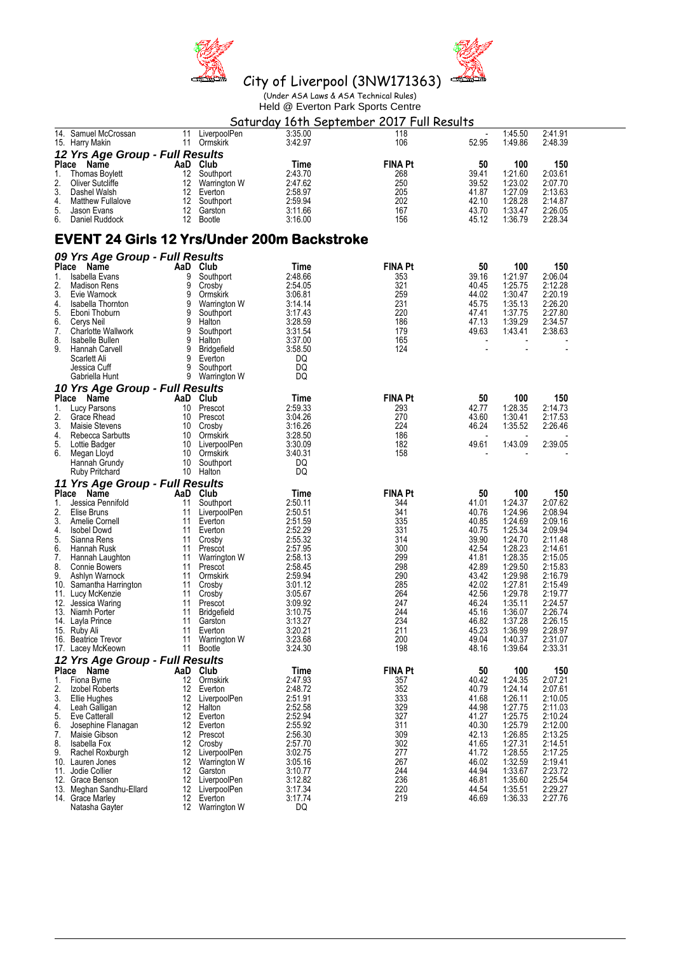



Held @ Everton Park Sports Centre

|                                                   |          |                               | Saturday 16th September 2017 Full Results          |                |                |                    |                    |  |
|---------------------------------------------------|----------|-------------------------------|----------------------------------------------------|----------------|----------------|--------------------|--------------------|--|
| 14. Samuel McCrossan<br>15. Harry Makin           | 11       | LiverpoolPen<br>11 Ormskirk   | 3:35.00<br>3:42.97                                 | 118<br>106     | 52.95          | 1:45.50<br>1:49.86 | 2:41.91<br>2:48.39 |  |
| 12 Yrs Age Group - Full Results                   |          |                               |                                                    |                |                |                    |                    |  |
| Place Name                                        |          | AaD Club                      | Time                                               | <b>FINA Pt</b> | 50             | 100                | 150                |  |
| 1.<br><b>Thomas Boylett</b>                       | 12       | Southport                     | 2:43.70                                            | 268            | 39.41          | 1:21.60            | 2:03.61            |  |
| 2.<br><b>Oliver Sutcliffe</b><br>3.               | 12       | Warrington W                  | 2:47.62                                            | 250            | 39.52          | 1:23.02            | 2:07.70            |  |
| Dashel Walsh<br>4.<br><b>Matthew Fullalove</b>    | 12<br>12 | Everton<br>Southport          | 2:58.97<br>2:59.94                                 | 205<br>202     | 41.87<br>42.10 | 1:27.09<br>1:28.28 | 2:13.63<br>2:14.87 |  |
| 5.<br>Jason Evans                                 | 12       | Garston                       | 3:11.66                                            | 167            | 43.70          | 1:33.47            | 2:26.05            |  |
| 6.<br>Daniel Ruddock                              | 12       | Bootle                        | 3:16.00                                            | 156            | 45.12          | 1:36.79            | 2:28.34            |  |
|                                                   |          |                               | <b>EVENT 24 Girls 12 Yrs/Under 200m Backstroke</b> |                |                |                    |                    |  |
| 09 Yrs Age Group - Full Results                   |          |                               |                                                    |                |                |                    |                    |  |
| Place Name                                        |          | AaD Club                      | Time                                               | <b>FINA Pt</b> | 50             | 100                | 150                |  |
| Isabella Evans<br>1.                              | 9        | Southport                     | 2:48.66                                            | 353            | 39.16          | 1:21.97            | 2:06.04            |  |
| 2.<br><b>Madison Rens</b><br>3.                   | 9<br>9   | Crosby                        | 2:54.05                                            | 321<br>259     | 40.45<br>44.02 | 1:25.75            | 2:12.28            |  |
| Evie Warnock<br>4.<br>Isabella Thornton           | 9        | Ormskirk<br>Warrington W      | 3:06.81<br>3:14.14                                 | 231            | 45.75          | 1:30.47<br>1:35.13 | 2:20.19<br>2:26.20 |  |
| 5.<br>Eboni Thoburn                               | 9        | Southport                     | 3:17.43                                            | 220            | 47.41          | 1:37.75            | 2:27.80            |  |
| 6.<br>Cerys Neil                                  | 9        | Halton                        | 3:28.59                                            | 186            | 47.13          | 1:39.29            | 2:34.57            |  |
| 7.<br><b>Charlotte Wallwork</b>                   | 9        | Southport                     | 3:31.54                                            | 179            | 49.63          | 1:43.41            | 2:38.63            |  |
| 8.<br>Isabelle Bullen                             | 9        | Halton                        | 3:37.00                                            | 165            |                |                    |                    |  |
| 9.<br>Hannah Carvell                              | 9<br>9   | <b>Bridgefield</b><br>Everton | 3:58.50<br>DQ                                      | 124            |                |                    |                    |  |
| Scarlett Ali<br>Jessica Cuff                      | 9        | Southport                     | DQ                                                 |                |                |                    |                    |  |
| Gabriella Hunt                                    | 9        | Warrington W                  | DQ                                                 |                |                |                    |                    |  |
| 10 Yrs Age Group - Full Results                   |          |                               |                                                    |                |                |                    |                    |  |
| Place Name                                        |          | AaD Club                      | Time                                               | <b>FINA Pt</b> | 50             | 100                | 150                |  |
| 1.<br>Lucy Parsons                                | 10       | Prescot                       | 2:59.33                                            | 293            | 42.77          | 1:28.35            | 2:14.73            |  |
| 2.<br>Grace Rhead                                 | 10       | Prescot                       | 3:04.26                                            | 270            | 43.60          | 1:30.41            | 2:17.53            |  |
| 3.<br>Maisie Stevens                              | 10       | Crosby                        | 3:16.26                                            | 224            | 46.24          | 1:35.52            | 2:26.46            |  |
| 4.<br>Rebecca Sarbutts                            | 10       | Ormskirk                      | 3:28.50                                            | 186            |                |                    |                    |  |
| 5.<br>Lottie Badger<br>6.                         | 10<br>10 | LiverpoolPen                  | 3:30.09                                            | 182<br>158     | 49.61          | 1:43.09            | 2:39.05            |  |
| Megan Lloyd<br>Hannah Grundy                      | 10       | Ormskirk<br>Southport         | 3:40.31<br>DQ                                      |                |                |                    |                    |  |
| Ruby Pritchard                                    | 10       | Halton                        | DQ                                                 |                |                |                    |                    |  |
| 11 Yrs Age Group - Full Results                   |          |                               |                                                    |                |                |                    |                    |  |
| Place Name                                        | AaD      | Club                          | Time                                               | <b>FINA Pt</b> | 50             | 100                | 150                |  |
| 1.<br>Jessica Pennifold                           | 11       | Southport                     | 2:50.11                                            | 344            | 41.01          | 1:24.37            | 2:07.62            |  |
| 2.<br>Elise Bruns                                 | 11       | LiverpoolPen                  | 2:50.51                                            | 341            | 40.76          | 1:24.96            | 2:08.94            |  |
| 3.<br>Amelie Cornell                              | 11       | Everton                       | 2:51.59                                            | 335            | 40.85          | 1:24.69            | 2:09.16            |  |
| 4.<br><b>Isobel Dowd</b>                          | 11       | Everton                       | 2:52.29                                            | 331            | 40.75          | 1:25.34            | 2:09.94            |  |
| 5.<br>Sianna Rens<br>6.<br>Hannah Rusk            | 11<br>11 | Crosby<br>Prescot             | 2:55.32<br>2:57.95                                 | 314<br>300     | 39.90<br>42.54 | 1:24.70<br>1:28.23 | 2:11.48<br>2:14.61 |  |
| 7.<br>Hannah Laughton                             | 11       | Warrington W                  | 2:58.13                                            | 299            | 41.81          | 1:28.35            | 2:15.05            |  |
| 8.<br><b>Connie Bowers</b>                        | 11       | Prescot                       | 2:58.45                                            | 298            | 42.89          | 1:29.50            | 2:15.83            |  |
| 9.<br>Ashlyn Warnock                              | 11       | Ormskirk                      | 2:59.94                                            | 290            | 43.42          | 1:29.98            | 2:16.79            |  |
| 10.<br>Samantha Harrington                        | 11       | Crosby                        | 3:01.12                                            | 285            | 42.02          | 1:27.81            | 2:15.49            |  |
| 11. Lucy McKenzie                                 | 11       | Crosby                        | 3:05.67                                            | 264<br>247     | 42.56<br>46.24 | 1:29.78<br>1:35.11 | 2:19.77            |  |
| 12.<br>Jessica Waring<br>13. Niamh Porter         | 11<br>11 | Prescot<br><b>Bridgefield</b> | 3:09.92<br>3:10.75                                 | 244            | 45.16          | 1:36.07            | 2:24.57<br>2:26.74 |  |
| 14. Layla Prince                                  | 11       | Garston                       | 3:13.27                                            | 234            | 46.82          | 1:37.28            | 2:26.15            |  |
| 15. Ruby Ali                                      | 11       | Everton                       | 3:20.21                                            | 211            | 45.23          | 1:36.99            | 2:28.97            |  |
| 16. Beatrice Trevor                               | 11       | Warrington W                  | 3:23.68                                            | 200            | 49.04          | 1:40.37            | 2:31.07            |  |
| 17. Lacey McKeown                                 | 11       | Bootle                        | 3:24.30                                            | 198            | 48.16          | 1:39.64            | 2:33.31            |  |
| 12 Yrs Age Group - Full Results                   |          |                               |                                                    |                |                |                    |                    |  |
| Place Name                                        |          | AaD Club                      | Time                                               | <b>FINA Pt</b> | 50             | 100                | 150                |  |
| 1.<br>Fiona Byrne                                 | 12       | Ormskirk                      | 2:47.93                                            | 357            | 40.42          | 1:24.35            | 2:07.21            |  |
| 2.<br>Izobel Roberts<br>3.<br><b>Ellie Hughes</b> | 12<br>12 | Everton<br>LiverpoolPen       | 2:48.72<br>2:51.91                                 | 352<br>333     | 40.79<br>41.68 | 1:24.14<br>1:26.11 | 2:07.61<br>2:10.05 |  |
| 4.<br>Leah Galligan                               | 12       | Halton                        | 2:52.58                                            | 329            | 44.98          | 1:27.75            | 2:11.03            |  |
| 5.<br>Eve Catterall                               | 12       | Everton                       | 2:52.94                                            | 327            | 41.27          | 1:25.75            | 2:10.24            |  |
| 6.<br>Josephine Flanagan                          | 12       | Everton                       | 2:55.92                                            | 311            | 40.30          | 1:25.79            | 2:12.00            |  |
| 7.<br>Maisie Gibson                               | 12       | Prescot                       | 2:56.30                                            | 309            | 42.13          | 1:26.85            | 2:13.25            |  |
| 8.<br>Isabella Fox                                | 12       | Crosby                        | 2:57.70                                            | 302            | 41.65          | 1:27.31            | 2:14.51            |  |
| 9.<br>Rachel Roxburgh<br>10. Lauren Jones         | 12<br>12 | LiverpoolPen<br>Warrington W  | 3:02.75<br>3:05.16                                 | 277<br>267     | 41.72<br>46.02 | 1:28.55<br>1:32.59 | 2:17.25<br>2:19.41 |  |
| 11. Jodie Collier                                 | 12       | Garston                       | 3:10.77                                            | 244            | 44.94          | 1:33.67            | 2:23.72            |  |
| 12. Grace Benson                                  | 12       | LiverpoolPen                  | 3:12.82                                            | 236            | 46.81          | 1:35.60            | 2:25.54            |  |
| 13. Meghan Sandhu-Ellard                          | 12       | LiverpoolPen                  | 3:17.34                                            | 220            | 44.54          | 1:35.51            | 2:29.27            |  |
| 14. Grace Marley                                  | 12       | Everton                       | 3:17.74                                            | 219            | 46.69          | 1:36.33            | 2:27.76            |  |
| Natasha Gayter                                    |          | 12 Warrington W               | DQ                                                 |                |                |                    |                    |  |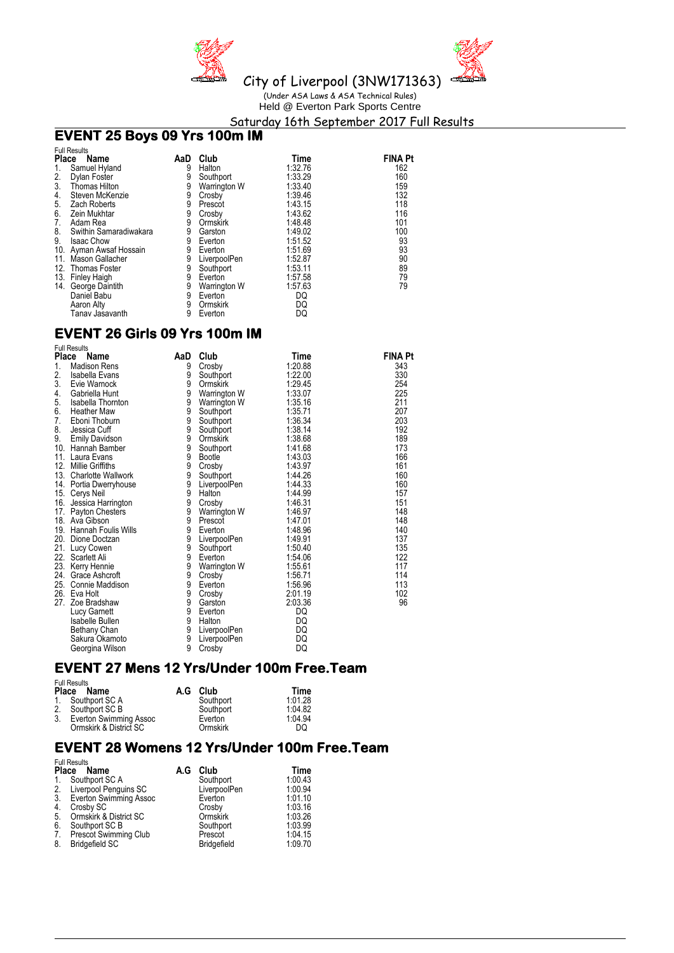



Held @ Everton Park Sports Centre

Saturday 16th September 2017 Full Results

## **EVENT 25 Boys 09 Yrs 100m IM**

|              | <b>Full Results</b>     |     |              |         |                |
|--------------|-------------------------|-----|--------------|---------|----------------|
| <b>Place</b> | Name                    | AaD | Club         | Time    | <b>FINA Pt</b> |
| 1.           | Samuel Hyland           | 9   | Halton       | 1:32.76 | 162            |
| 2.           | Dylan Foster            | 9   | Southport    | 1:33.29 | 160            |
| 3.           | <b>Thomas Hilton</b>    | 9   | Warrington W | 1:33.40 | 159            |
| 4.           | Steven McKenzie         | 9   | Crosby       | 1:39.46 | 132            |
| 5.           | Zach Roberts            | 9   | Prescot      | 1:43.15 | 118            |
| 6.           | Zein Mukhtar            | 9   | Crosby       | 1:43.62 | 116            |
| 7.           | Adam Rea                | 9   | Ormskirk     | 1:48.48 | 101            |
| 8.           | Swithin Samaradiwakara  | 9   | Garston      | 1:49.02 | 100            |
| 9.           | <b>Isaac Chow</b>       | 9   | Everton      | 1:51.52 | 93             |
|              | 10. Ayman Awsaf Hossain | 9   | Everton      | 1:51.69 | 93             |
| 11.          | Mason Gallacher         | 9   | LiverpoolPen | 1:52.87 | 90             |
|              | 12. Thomas Foster       | 9   | Southport    | 1:53.11 | 89             |
|              | 13. Finley Haigh        | 9   | Everton      | 1:57.58 | 79             |
| 14.          | George Daintith         | 9   | Warrington W | 1:57.63 | 79             |
|              | Daniel Babu             | 9   | Everton      | DQ      |                |
|              | Aaron Alty              | 9   | Ormskirk     | DQ      |                |
|              | Tanav Jasavanth         | 9   | Everton      | DQ      |                |

### **EVENT 26 Girls 09 Yrs 100m IM**

| <b>Full Results</b><br><b>Place</b><br>Name | AaD | Club         | Time    | <b>FINA Pt</b> |
|---------------------------------------------|-----|--------------|---------|----------------|
| 1.<br><b>Madison Rens</b>                   | 9   | Crosby       | 1:20.88 | 343            |
| 2.<br>Isabella Evans                        | 9   | Southport    | 1:22.00 | 330            |
| 3.<br>Evie Warnock                          | 9   | Ormskirk     | 1:29.45 | 254            |
| 4.<br>Gabriella Hunt                        | 9   | Warrington W | 1:33.07 | 225            |
| 5.<br>Isabella Thornton                     | 9   | Warrington W | 1:35.16 | 211            |
| 6.<br><b>Heather Maw</b>                    | 9   | Southport    | 1:35.71 | 207            |
| 7.<br>Eboni Thoburn                         | 9   | Southport    | 1:36.34 | 203            |
| 8.<br>Jessica Cuff                          | 9   | Southport    | 1:38.14 | 192            |
| 9.<br><b>Emily Davidson</b>                 | 9   | Ormskirk     | 1:38.68 | 189            |
| 10. Hannah Bamber                           | 9   | Southport    | 1:41.68 | 173            |
| 11. Laura Evans                             | 9   | Bootle       | 1:43.03 | 166            |
| 12.<br><b>Millie Griffiths</b>              | 9   | Crosby       | 1:43.97 | 161            |
| 13.<br>Charlotte Wallwork                   | 9   | Southport    | 1:44.26 | 160            |
| 14. Portia Dwerryhouse                      | 9   | LiverpoolPen | 1:44.33 | 160            |
| 15. Cerys Neil                              | 9   | Halton       | 1:44.99 | 157            |
| 16. Jessica Harrington                      | 9   | Crosby       | 1:46.31 | 151            |
| 17. Payton Chesters                         | 9   | Warrington W | 1:46.97 | 148            |
| 18. Ava Gibson                              | 9   | Prescot      | 1:47.01 | 148            |
| <b>Hannah Foulis Wills</b><br>19.           | 9   | Everton      | 1:48.96 | 140            |
| 20.<br>Dione Doctzan                        | 9   | LiverpoolPen | 1:49.91 | 137            |
| 21. Lucy Cowen                              | 9   | Southport    | 1:50.40 | 135            |
| 22.<br>Scarlett Ali                         | 9   | Everton      | 1:54.06 | 122            |
| 23.<br>Kerry Hennie                         | 9   | Warrington W | 1:55.61 | 117            |
| 24.<br>Grace Ashcroft                       | 9   | Crosby       | 1:56.71 | 114            |
| 25. Connie Maddison                         | 9   | Everton      | 1:56.96 | 113            |
| 26.<br>Eva Holt                             | 9   | Crosby       | 2:01.19 | 102            |
| 27.<br>Zoe Bradshaw                         | 9   | Garston      | 2:03.36 | 96             |
| Lucy Garnett                                | 9   | Everton      | DQ      |                |
| Isabelle Bullen                             | 9   | Halton       | DQ      |                |
| Bethany Chan                                | 9   | LiverpoolPen | DQ      |                |
| Sakura Okamoto                              | 9   | LiverpoolPen | DQ      |                |
| Georgina Wilson                             | 9   | Crosby       | DQ      |                |

## **EVENT 27 Mens 12 Yrs/Under 100m Free.Team**

|    | <b>Full Results</b><br>Place Name | A.G Club  | Time    |
|----|-----------------------------------|-----------|---------|
|    | 1. Southport SC A                 | Southport | 1:01.28 |
|    | 2. Southport SC B                 | Southport | 1:04.82 |
| 3. | Everton Swimming Assoc            | Everton   | 1.04.94 |
|    | Ormskirk & District SC            | Ormskirk  | DQ      |

#### **EVENT 28 Womens 12 Yrs/Under 100m Free.Team**  Full Results

|                | <b>FUIL RESUITS</b>          |     |                    |         |
|----------------|------------------------------|-----|--------------------|---------|
|                | Place Name                   | A.G | Club               | Time    |
| $\mathbf{1}$ . | Southport SC A               |     | Southport          | 1:00.43 |
|                | 2. Liverpool Penguins SC     |     | LiverpoolPen       | 1:00.94 |
|                | 3. Everton Swimming Assoc    |     | Everton            | 1:01.10 |
| 4.             | Crosby SC                    |     | Crosby             | 1:03.16 |
| 5.             | Ormskirk & District SC       |     | <b>Ormskirk</b>    | 1:03.26 |
| 6.             | Southport SC B               |     | Southport          | 1:03.99 |
| 7.             | <b>Prescot Swimming Club</b> |     | Prescot            | 1:04.15 |
| 8.             | <b>Bridgefield SC</b>        |     | <b>Bridgefield</b> | 1:09.70 |
|                |                              |     |                    |         |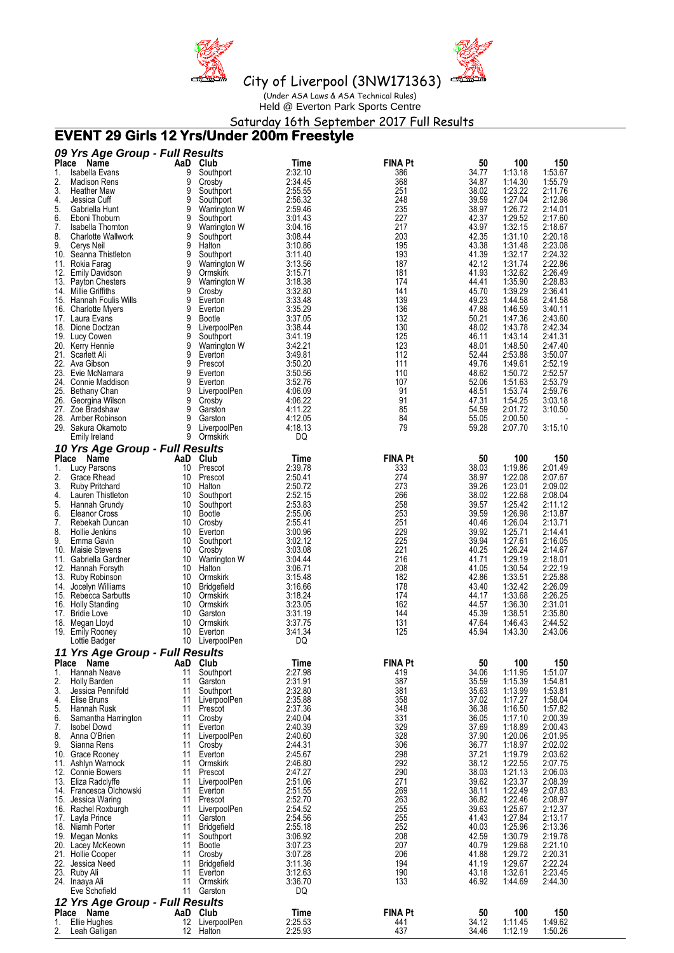



Held @ Everton Park Sports Centre

Saturday 16th September 2017 Full Results

## **EVENT 29 Girls 12 Yrs/Under 200m Freestyle**

|                    | 09 Yrs Age Group - Full Results             |          |                            |                    |                       |                |                    |                    |
|--------------------|---------------------------------------------|----------|----------------------------|--------------------|-----------------------|----------------|--------------------|--------------------|
| <b>Place</b><br>1. | Name<br>Isabella Evans                      | AaD<br>9 | Club                       | Time<br>2:32.10    | <b>FINA Pt</b><br>386 | 50<br>34.77    | 100<br>1:13.18     | 150<br>1:53.67     |
| 2.                 | <b>Madison Rens</b>                         | 9        | Southport<br>Crosby        | 2:34.45            | 368                   | 34.87          | 1:14.30            | 1:55.79            |
| 3.                 | <b>Heather Maw</b>                          | 9        | Southport                  | 2:55.55            | 251                   | 38.02          | 1:23.22            | 2:11.76            |
| 4.                 | Jessica Cuff                                | 9        | Southport                  | 2:56.32            | 248                   | 39.59          | 1:27.04            | 2:12.98            |
| 5.                 | Gabriella Hunt                              | 9        | Warrington W               | 2:59.46            | 235                   | 38.97          | 1:26.72            | 2:14.01            |
| 6.                 | Eboni Thoburn                               | 9        | Southport                  | 3:01.43            | 227                   | 42.37          | 1:29.52            | 2:17.60            |
| 7.                 | Isabella Thornton                           | 9        | Warrington W               | 3:04.16            | 217                   | 43.97          | 1:32.15            | 2:18.67            |
| 8.<br>9.           | <b>Charlotte Wallwork</b><br>Cerys Neil     | 9<br>9   | Southport<br>Halton        | 3:08.44<br>3:10.86 | 203<br>195            | 42.35<br>43.38 | 1:31.10<br>1:31.48 | 2:20.18<br>2:23.08 |
|                    | 10. Seanna Thistleton                       | 9        | Southport                  | 3:11.40            | 193                   | 41.39          | 1:32.17            | 2:24.32            |
|                    | 11. Rokia Farag                             | 9        | Warrington W               | 3:13.56            | 187                   | 42.12          | 1:31.74            | 2:22.86            |
|                    | 12. Emily Davidson                          | 9        | Ormskirk                   | 3:15.71            | 181                   | 41.93          | 1:32.62            | 2:26.49            |
|                    | 13. Payton Chesters                         | 9        | Warrington W               | 3:18.38            | 174                   | 44.41          | 1:35.90            | 2:28.83            |
|                    | 14. Millie Griffiths                        | 9        | Crosby                     | 3:32.80            | 141                   | 45.70          | 1:39.29            | 2:36.41            |
|                    | 15. Hannah Foulis Wills                     | 9        | Everton                    | 3:33.48            | 139                   | 49.23          | 1:44.58            | 2:41.58            |
|                    | 16. Charlotte Myers<br>17. Laura Evans      | 9<br>9   | Everton<br><b>Bootle</b>   | 3:35.29<br>3:37.05 | 136<br>132            | 47.88<br>50.21 | 1:46.59<br>1:47.36 | 3:40.11<br>2:43.60 |
|                    | 18. Dione Doctzan                           | 9        | LiverpoolPen               | 3:38.44            | 130                   | 48.02          | 1:43.78            | 2:42.34            |
|                    | 19. Lucy Cowen                              | 9        | Southport                  | 3:41.19            | 125                   | 46.11          | 1:43.14            | 2:41.31            |
|                    | 20. Kerry Hennie                            | 9        | Warrington W               | 3:42.21            | 123                   | 48.01          | 1:48.50            | 2:47.40            |
|                    | 21. Scarlett Ali                            | 9        | Everton                    | 3:49.81            | 112                   | 52.44          | 2:53.88            | 3:50.07            |
|                    | 22. Ava Gibson                              | 9        | Prescot                    | 3:50.20            | 111                   | 49.76          | 1:49.61            | 2:52.19            |
|                    | 23. Evie McNamara                           | 9        | Everton                    | 3:50.56            | 110                   | 48.62          | 1:50.72            | 2:52.57            |
|                    | 24. Connie Maddison<br>25. Bethany Chan     | 9<br>9   | Everton<br>LiverpoolPen    | 3:52.76<br>4:06.09 | 107<br>91             | 52.06<br>48.51 | 1:51.63<br>1:53.74 | 2:53.79<br>2:59.76 |
| 26.                | Georgina Wilson                             | 9        | Crosby                     | 4:06.22            | 91                    | 47.31          | 1:54.25            | 3:03.18            |
|                    | 27. Zoe Bradshaw                            | 9        | Garston                    | 4:11.22            | 85                    | 54.59          | 2:01.72            | 3:10.50            |
|                    | 28. Amber Robinson                          | 9        | Garston                    | 4:12.05            | 84                    | 55.05          | 2:00.50            |                    |
|                    | 29. Sakura Okamoto                          | 9        | LiverpoolPen               | 4:18.13            | 79                    | 59.28          | 2:07.70            | 3:15.10            |
|                    | Emily Ireland                               | 9        | Ormskirk                   | DQ                 |                       |                |                    |                    |
|                    | 10 Yrs Age Group - Full Results             |          |                            |                    |                       |                |                    |                    |
|                    | Place Name                                  | AaD      | Club                       | Time               | <b>FINA Pt</b>        | 50             | 100                | 150                |
| 1.<br>2.           | Lucy Parsons                                | 10<br>10 | Prescot                    | 2:39.78<br>2:50.41 | 333<br>274            | 38.03          | 1:19.86<br>1:22.08 | 2:01.49<br>2:07.67 |
| 3.                 | Grace Rhead<br><b>Ruby Pritchard</b>        | 10       | Prescot<br>Halton          | 2:50.72            | 273                   | 38.97<br>39.26 | 1:23.01            | 2:09.02            |
| 4.                 | Lauren Thistleton                           | 10       | Southport                  | 2:52.15            | 266                   | 38.02          | 1:22.68            | 2:08.04            |
| 5.                 | Hannah Grundy                               | 10       | Southport                  | 2:53.83            | 258                   | 39.57          | 1:25.42            | 2:11.12            |
| 6.                 | <b>Eleanor Cross</b>                        | 10       | <b>Bootle</b>              | 2:55.06            | 253                   | 39.59          | 1:26.98            | 2:13.87            |
| 7.                 | Rebekah Duncan                              | 10       | Crosby                     | 2:55.41            | 251                   | 40.46          | 1:26.04            | 2:13.71            |
| 8.                 | Hollie Jenkins                              | 10       | Everton                    | 3:00.96            | 229                   | 39.92          | 1:25.71            | 2:14.41            |
| 9.                 | Emma Gavin                                  | 10<br>10 | Southport                  | 3:02.12            | 225<br>221            | 39.94<br>40.25 | 1:27.61<br>1:26.24 | 2:16.05<br>2:14.67 |
|                    | 10. Maisie Stevens<br>11. Gabriella Gardner | 10       | Crosby<br>Warrington W     | 3:03.08<br>3:04.44 | 216                   | 41.71          | 1:29.19            | 2:18.01            |
|                    | 12. Hannah Forsyth                          | 10       | Halton                     | 3:06.71            | 208                   | 41.05          | 1:30.54            | 2:22.19            |
|                    | 13. Ruby Robinson                           | 10       | Ormskirk                   | 3:15.48            | 182                   | 42.86          | 1:33.51            | 2:25.88            |
|                    | 14. Jocelyn Williams                        | 10       | <b>Bridgefield</b>         | 3:16.66            | 178                   | 43.40          | 1:32.42            | 2:26.09            |
|                    | 15. Rebecca Sarbutts                        | 10       | Ormskirk                   | 3:18.24            | 174                   | 44.17          | 1:33.68            | 2:26.25            |
|                    | 16. Holly Standing                          | 10       | Ormskirk                   | 3:23.05            | 162                   | 44.57          | 1:36.30            | 2:31.01            |
|                    | 17. Bridie Love                             | 10<br>10 | Garston<br>Ormskirk        | 3:31.19<br>3:37.75 | 144<br>131            | 45.39<br>47.64 | 1:38.51<br>1:46.43 | 2:35.80<br>2:44.52 |
|                    | 18. Megan Lloyd<br>19. Emily Rooney         | 10       | Everton                    | 3:41.34            | 125                   | 45.94          | 1:43.30            | 2:43.06            |
|                    | Lottie Badger                               | 10       | LiverpoolPen               | DQ                 |                       |                |                    |                    |
|                    | 11 Yrs Age Group - Full Results             |          |                            |                    |                       |                |                    |                    |
|                    | Place Name                                  | AaD      | Club                       | Time               | <b>FINA Pt</b>        | 50             | 100                | 150                |
| 1.                 | Hannah Neave                                | 11       | Southport                  | 2:27.98            | 419                   | 34.06          | 1:11.95            | 1:51.07            |
| 2.                 | <b>Holly Barden</b>                         | 11       | Garston                    | 2:31.91            | 387                   | 35.59          | 1:15.39            | 1:54.81            |
| 3.                 | Jessica Pennifold                           | 11       | Southport                  | 2:32.80            | 381                   | 35.63          | 1:13.99            | 1:53.81            |
| 4.<br>5.           | Elise Bruns<br>Hannah Rusk                  | 11<br>11 | LiverpoolPen<br>Prescot    | 2:35.88<br>2:37.36 | 358<br>348            | 37.02<br>36.38 | 1:17.27<br>1:16.50 | 1:58.04<br>1:57.82 |
| 6.                 | Samantha Harrington                         | 11       | Crosby                     | 2:40.04            | 331                   | 36.05          | 1:17.10            | 2:00.39            |
| 7.                 | Isobel Dowd                                 | 11       | Everton                    | 2:40.39            | 329                   | 37.69          | 1:18.89            | 2:00.43            |
| 8.                 | Anna O'Brien                                | 11       | LiverpoolPen               | 2:40.60            | 328                   | 37.90          | 1:20.06            | 2:01.95            |
| 9.                 | Sianna Rens                                 | 11       | Crosby                     | 2:44.31            | 306                   | 36.77          | 1:18.97            | 2:02.02            |
|                    | 10. Grace Rooney                            | 11       | Everton                    | 2:45.67            | 298                   | 37.21          | 1:19.79            | 2:03.62            |
|                    | 11. Ashlyn Warnock<br>12. Connie Bowers     | 11<br>11 | Ormskirk<br>Prescot        | 2:46.80<br>2:47.27 | 292<br>290            | 38.12<br>38.03 | 1:22.55<br>1:21.13 | 2:07.75<br>2:06.03 |
|                    | 13. Eliza Radclyffe                         | 11       | LiverpoolPen               | 2:51.06            | 271                   | 39.62          | 1:23.37            | 2:08.39            |
|                    | 14. Francesca Olchowski                     | 11       | Everton                    | 2:51.55            | 269                   | 38.11          | 1:22.49            | 2:07.83            |
|                    | 15. Jessica Waring                          | 11       | Prescot                    | 2:52.70            | 263                   | 36.82          | 1:22.46            | 2:08.97            |
|                    | 16. Rachel Roxburgh                         | 11       | LiverpoolPen               | 2:54.52            | 255                   | 39.63          | 1:25.67            | 2:12.37            |
|                    | 17. Layla Prince                            | 11       | Garston                    | 2:54.56            | 255                   | 41.43          | 1:27.84            | 2:13.17            |
|                    | 18. Niamh Porter                            | 11       | <b>Bridgefield</b>         | 2:55.18            | 252                   | 40.03          | 1:25.96            | 2:13.36            |
|                    | 19. Megan Monks<br>20. Lacey McKeown        | 11<br>11 | Southport<br><b>Bootle</b> | 3:06.92<br>3:07.23 | 208<br>207            | 42.59<br>40.79 | 1:30.79<br>1:29.68 | 2:19.78<br>2:21.10 |
|                    | 21. Hollie Cooper                           | 11       | Crosby                     | 3:07.28            | 206                   | 41.88          | 1:29.72            | 2:20.31            |
|                    | 22. Jessica Need                            | 11       | <b>Bridgefield</b>         | 3:11.36            | 194                   | 41.19          | 1:29.67            | 2:22.24            |
|                    | 23. Ruby Ali                                | 11       | Everton                    | 3:12.63            | 190                   | 43.18          | 1:32.61            | 2:23.45            |
|                    | 24. Inaaya Ali                              | 11       | Ormskirk                   | 3:36.70            | 133                   | 46.92          | 1:44.69            | 2:44.30            |
|                    | Eve Schofield                               | 11       | Garston                    | DQ                 |                       |                |                    |                    |
|                    | 12 Yrs Age Group - Full Results             |          |                            |                    |                       |                |                    |                    |
| 1.                 | Place Name<br>Ellie Hughes                  | AaD      | Club<br>12 LiverpoolPen    | Time<br>2:25.53    | <b>FINA Pt</b><br>441 | 50<br>34.12    | 100<br>1:11.45     | 150<br>1:49.62     |
| 2.                 | Leah Galligan                               |          | 12 Halton                  | 2:25.93            | 437                   | 34.46          | 1:12.19            | 1:50.26            |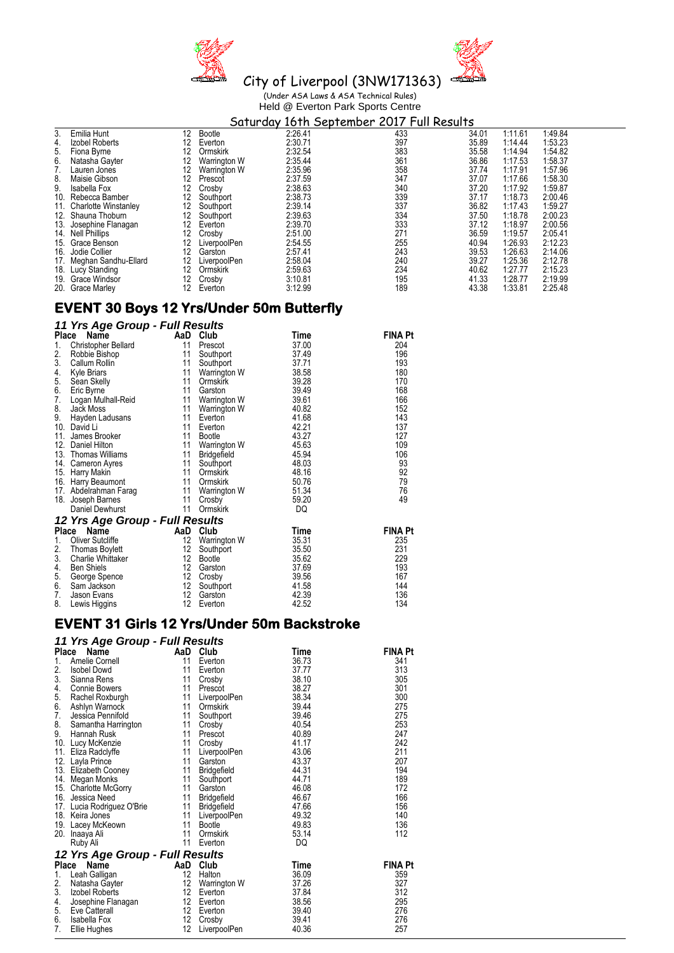



City of Liverpool (3NW171363) (Under ASA Laws & ASA Technical Rules) Held @ Everton Park Sports Centre

#### Emilia Hunt 12 Bootle 2:26.41<br>
Izobel Roberts 12 Everton 2:30.71 1337 34.01<br>
Fiona Byrne 12 Ormskirk 2:32.54 383 35.58<br>
Natasha Gayter 12 Warrington W 2:35.44 361 36.86<br>
Matasha Gayter 12 Warrington W 2:35.44 361 36.86 3. Emilia Hunt 12 Bootle 2:26.41 433 34.01 1:11.61 1:49.84 4. Izobel Roberts 12 Everton 2:30.71 397 35.89 1:14.44 1:53.23 5. Fiona Byrne 12 Ormskirk 2:32.54 383 35.58 1:14.94 1:54.82 1. And the University of the Material Cole (1.14.44 1.53.23<br>
1. Izobel Roberts 12 Ormskirk 2:30.71<br>
5. Fiona Byrne 12 Ormskirk 2:35.54 383 35.58 1:14.44 1:53.23<br>
6. Natasha Gayter 12 Warrington W 2:35.44 361 36.86 1:17.53 7. Lauren Jones 12 Warrington W 2:35.96 358 37.74 1:17.91 1:57.96 8. Maisie Gibson 12 Prescot 2:37.59 347 37.07 1:17.66 1:58.30 9. Isabella Fox 12 Crosby 2:38.63 340 37.20 1:17.92 1:59.87 10. Rebecca Bamber 12 Southport 13.38.73 339 37.17 1:18.73 2:00.46<br>
11. Charlotte Winstanley 12 Southport 2:39.73 339 37.17 1:18.73 2:00.46<br>
12 Southport 2:39.14 337 36.82 1:17.43 1:59.27<br>
13. Josephine Flanagan 12 Everton 11. Charlotte Winstanley 12 Southport 12.39.14 337 36.82 1:17.43 1:59.27<br>
12. Shauna Thoburn 12 Southport 2:39.63<br>
13. Josephine Flanagan 12 Everton 2:39.70 334 37.50 1:18.78 2:00.23<br>
14. Nell Phillips<br>
16. Jodie Collier 1 12. Shauna Thoburn 12 Southport 12 37.50 1:18.78 2:39.63 334 37.50 1:18.78 2:39.63 334 37.50 1:18.78 2:39.70 333 13. Josephine Flanagan 12 Everton 2:39.70 333 37.12 1:18.97 2:00.56 14. Nell Phillips 12 Crosby 2:51.00 271 36.59 1:19.57 2:05.41 15. Grace Benson 12 LiverpoolPen 2:54.55 255 40.94 1:26.93 2:12.23 16. Jodie Collier 12 Garston 2:57.41 243 39.53 1:26.63 2:14.06 17. Grace Benson 12 LiverpoolPen 2:54.55 2.12.43 40.94 1:26.93 2.12.43<br>
17. Meghan Sandhu-Ellard 12 LiverpoolPen 2:57.41 243 39.53 1:26.63 2:14.06<br>
17. Meghan Sandhu-Ellard 12 LiverpoolPen 2:58.04 240 39.27 1:25.36 2:12.78 18. Lucy Standing 12 Ormskirk 2:59.63 234 40.62 1:27.77 2:15.23<br>19. Grace Windsor 12 Crosby 3:10.81 195 41.33 1:28.77 2:19.99<br>20. Grace Marley 12 Everton 3:12.99 189 43.38 1:33.81 2:25.48 19. Grace Windsor 12 Crosby 3:10.81 195 41.33 1:28.77 2:19.99 20. Grace Marley 12 Everton 3:12.99 189 43.38 1:33.81 2:25.48

### **EVENT 30 Boys 12 Yrs/Under 50m Butterfly**

### *11 Yrs Age Group - Full Results*

| Place | Name                            | AaD               | Club            | Time  | <b>FINA Pt</b> |
|-------|---------------------------------|-------------------|-----------------|-------|----------------|
| 1.    | Christopher Bellard             | 11                | Prescot         | 37.00 | 204            |
| 2.    | Robbie Bishop                   | 11                | Southport       | 37.49 | 196            |
| 3.    | Callum Rollin                   | 11                | Southport       | 37.71 | 193            |
| 4.    | Kyle Briars                     | 11                | Warrington W    | 38.58 | 180            |
| 5.    | Sean Skelly                     | 11                | Ormskirk        | 39.28 | 170            |
| 6.    | Eric Byrne                      | 11                | Garston         | 39.49 | 168            |
| 7.    | Logan Mulhall-Reid              | 11                | Warrington W    | 39.61 | 166            |
| 8.    | Jack Moss                       | 11                | Warrington W    | 40.82 | 152            |
| 9.    | Hayden Ladusans                 | 11                | Everton         | 41.68 | 143            |
|       | 10. David Li                    | 11                | Everton         | 42.21 | 137            |
| 11.   | James Brooker                   | 11                | <b>Bootle</b>   | 43.27 | 127            |
| 12.   | Daniel Hilton                   | 11                | Warrington W    | 45.63 | 109            |
|       | 13. Thomas Williams             | 11                | Bridgefield     | 45.94 | 106            |
|       | 14. Cameron Ayres               | 11                | Southport       | 48.03 | 93             |
|       | 15. Harry Makin                 | 11                | Ormskirk        | 48.16 | 92             |
|       | 16. Harry Beaumont              | 11                | Ormskirk        | 50.76 | 79             |
|       | 17. Abdelrahman Farag           | 11                | Warrington W    | 51.34 | 76             |
|       | 18. Joseph Barnes               | 11                | Crosby          | 59.20 | 49             |
|       | Daniel Dewhurst                 | 11                | <b>Ormskirk</b> | DQ    |                |
|       | 12 Yrs Age Group - Full Results |                   |                 |       |                |
|       | Place<br>Name                   | AaD               | Club            | Time  | <b>FINA Pt</b> |
| 1.    | <b>Oliver Sutcliffe</b>         | 12                | Warrington W    | 35.31 | 235            |
| 2.    | <b>Thomas Boylett</b>           | 12                | Southport       | 35.50 | 231            |
| 3.    | Charlie Whittaker               | 12                | Bootle          | 35.62 | 229            |
| 4.    | <b>Ben Shiels</b>               | 12                | Garston         | 37.69 | 193            |
| 5.    | George Spence                   | 12                | Crosby          | 39.56 | 167            |
| 6.    | Sam Jackson                     | 12                | Southport       | 41.58 | 144            |
| 7.    | Jason Evans                     | $12 \overline{ }$ | Garston         | 42.39 | 136            |
| 8.    | Lewis Higgins                   | 12                | Everton         | 42.52 | 134            |

### **EVENT 31 Girls 12 Yrs/Under 50m Backstroke**

### *11 Yrs Age Group - Full Results*

| Place | Name                            | AaD               | Club               | <b>Time</b> | <b>FINA Pt</b> |
|-------|---------------------------------|-------------------|--------------------|-------------|----------------|
| 1.    | Amelie Cornell                  | 11                | Everton            | 36.73       | 341            |
| 2.    | <b>Isobel Dowd</b>              | 11                | Everton            | 37.77       | 313            |
| 3.    | Sianna Rens                     | 11                | Crosby             | 38.10       | 305            |
| 4.    | Connie Bowers                   | 11                | Prescot            | 38.27       | 301            |
| 5.    | Rachel Roxburgh                 | 11                | LiverpoolPen       | 38.34       | 300            |
| 6.    | Ashlyn Warnock                  | 11                | Ormskirk           | 39.44       | 275            |
| 7.    | Jessica Pennifold               | 11                | Southport          | 39.46       | 275            |
| 8.    | Samantha Harrington             | 11                | Crosby             | 40.54       | 253            |
| 9.    | Hannah Rusk                     | 11                | Prescot            | 40.89       | 247            |
|       | 10. Lucy McKenzie               | 11                | Crosby             | 41.17       | 242            |
| 11.   | Eliza Radclyffe                 | 11                | LiverpoolPen       | 43.06       | 211            |
|       | 12. Layla Prince                | 11                | Garston            | 43.37       | 207            |
|       | 13. Elizabeth Cooney            | 11                | Bridgefield        | 44.31       | 194            |
|       | 14. Megan Monks                 | 11                | Southport          | 44.71       | 189            |
|       | 15. Charlotte McGorry           | 11                | Garston            | 46.08       | 172            |
|       | 16. Jessica Need                | 11                | Bridgefield        | 46.67       | 166            |
|       | 17. Lucia Rodriguez O'Brie      | 11                | <b>Bridgefield</b> | 47.66       | 156            |
|       | 18. Keira Jones                 | 11                | LiverpoolPen       | 49.32       | 140            |
|       | 19. Lacey McKeown               | 11                | <b>Bootle</b>      | 49.83       | 136            |
| 20.   | Inaaya Ali                      | 11                | Ormskirk           | 53.14       | 112            |
|       | Ruby Ali                        | 11                | Everton            | DQ          |                |
|       | 12 Yrs Age Group - Full Results |                   |                    |             |                |
|       | Place<br>Name                   |                   | AaD Club           | Time        | <b>FINA Pt</b> |
| 1.    | Leah Galligan                   | 12                | Halton             | 36.09       | 359            |
| 2.    | Natasha Gayter                  | 12                | Warrington W       | 37.26       | 327            |
| 3.    | Izobel Roberts                  | $12 \overline{ }$ | Everton            | 37.84       | 312            |
| 4.    | Josephine Flanagan              | 12                | Everton            | 38.56       | 295            |
| 5.    | Eve Catterall                   | 12                | Everton            | 39.40       | 276            |
| 6.    | Isabella Fox                    | 12                | Crosby             | 39.41       | 276            |
| 7.    | Ellie Hughes                    | 12                | LiverpoolPen       | 40.36       | 257            |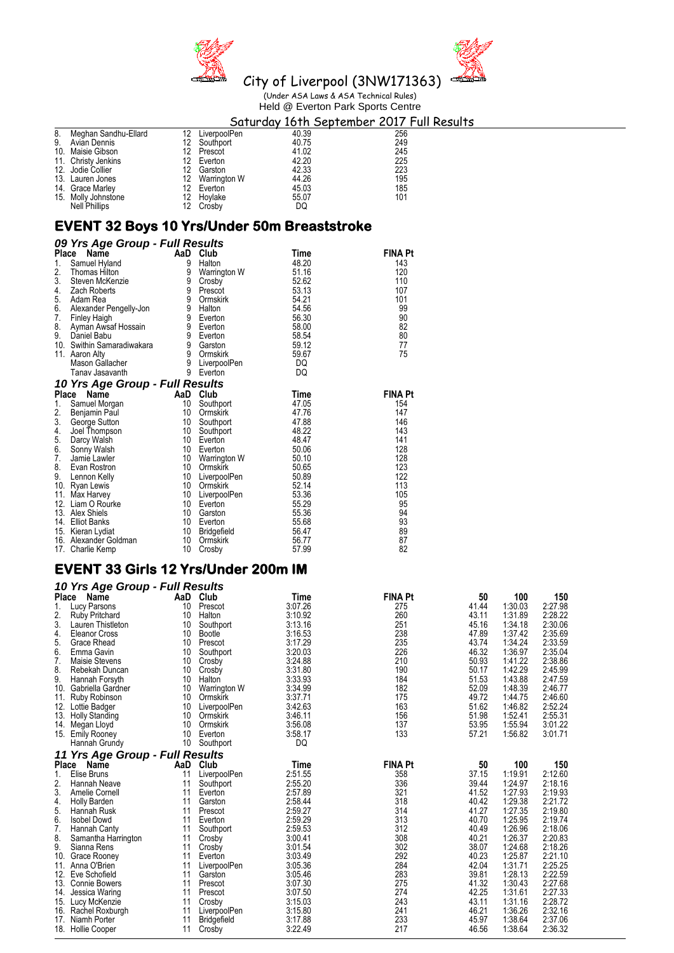



### City of Liverpool (3NW171363) (Under ASA Laws & ASA Technical Rules) Held @ Everton Park Sports Centre

### **Saturday 16th September 2017 Full Results**<br>
12 LiverpoolPen 40.39 256<br>
12 Southport 40.75 249<br>
12 Prescot 41.02 245<br>
12 Everton 42.20 225<br>
12 Garston 42.33 223<br>
12 Warrington W 44.26 195<br>
12 Everton 45.03 185<br>
12 Everton 8. Meghan Sandhu-Ellard 12 Liverpool<br>
9. Avian Dennis 12 Southport<br>
10. Maisie Gibson 12 Prescot 9. Avian Dennis 12 Southport 40.75 249 10. Maisie Gibson 12 Prescot 41.02 245 11. Christy Jenkins 12 Everton 42.20 225 12. Jodie Collier 12 Garston 42.33 223 13. Lauren Jones 12 Warrington W 44.26 195 14. Grace Marley 12 Everton 12 Everton 15.03 185

### **EVENT 32 Boys 10 Yrs/Under 50m Breaststroke**

Nell Phillips 12 Crosby DQ

15. Molly Johnstone 12 Hoylake 55.07 101

| 09 Yrs Age Group - Full Results |    |                |       |                |
|---------------------------------|----|----------------|-------|----------------|
| Name<br>Place                   |    | AaD Club       | Time  | <b>FINA Pt</b> |
| 1.<br>Samuel Hyland             | 9  | Halton         | 48.20 | 143            |
| 2.<br>Thomas Hilton             | 9  | Warrington W   | 51.16 | 120            |
| 3.<br>Steven McKenzie           | 9  | Crosby         | 52.62 | 110            |
| 4.<br>Zach Roberts              | 9  | Prescot        | 53.13 | 107            |
| 5.<br>Adam Rea                  | 9  | Ormskirk       | 54.21 | 101            |
| 6.<br>Alexander Pengelly-Jon    | 9  | Halton         | 54.56 | 99             |
| 7.<br>Finley Haigh              | 9  | Everton        | 56.30 | 90             |
| 8.<br>Ayman Awsaf Hossain       | 9  | Everton        | 58.00 | 82             |
| 9.<br>Daniel Babu               | 9  | Everton        | 58.54 | 80             |
| 10.<br>Swithin Samaradiwakara   |    | 9 Garston      | 59.12 | 77             |
| 11.<br>Aaron Alty               |    | 9 Ormskirk     | 59.67 | 75             |
| Mason Gallacher                 |    | 9 LiverpoolPen | DQ    |                |
| Tanav Jasavanth                 | 9  | Everton        | DQ    |                |
| 10 Yrs Age Group - Full Results |    |                |       |                |
| Place<br>Name                   |    | AaD Club       | Time  | <b>FINA Pt</b> |
| Samuel Morgan<br>1.             | 10 | Southport      | 47.05 | 154            |
| 2.<br>Benjamin Paul             | 10 | Ormskirk       | 47.76 | 147            |
| 3.<br>George Sutton             | 10 | Southport      | 47.88 | 146            |
| 4.<br>Joel Thompson             | 10 | Southport      | 48.22 | 143            |
| 5.<br>Darcy Walsh               | 10 | Everton        | 48.47 | 141            |
| 6.<br>Sonny Walsh               | 10 | Everton        | 50.06 | 128            |
| 7.<br>Jamie Lawler              | 10 | Warrington W   | 50.10 | 128            |
| 8.<br>Evan Rostron              | 10 | Ormskirk       | 50.65 | 123            |
| 9.<br>Lennon Kelly              | 10 | LiverpoolPen   | 50.89 | 122            |
| 10. Ryan Lewis                  | 10 | Ormskirk       | 52.14 | 113            |
| 11. Max Harvey                  | 10 | LiverpoolPen   | 53.36 | 105            |
| 12. Liam O Rourke               | 10 | Everton        | 55.29 | 95             |
| Alex Shiels<br>13.              | 10 | Garston        | 55.36 | 94             |
| <b>Elliot Banks</b><br>14.      | 10 | Everton        | 55.68 | 93             |
| 15. Kieran Lydiat               | 10 | Bridgefield    | 56.47 | 89             |
| 16. Alexander Goldman           | 10 | Ormskirk       | 56.77 | 87             |
| Charlie Kemp<br>17.             | 10 | Crosby         | 57.99 | 82             |

## **EVENT 33 Girls 12 Yrs/Under 200m IM**

|              | 10 Yrs Age Group - Full Results       |     |                                    |                    |                |       |                    |                    |
|--------------|---------------------------------------|-----|------------------------------------|--------------------|----------------|-------|--------------------|--------------------|
| <b>Place</b> | Name                                  | AaD | Club                               | Time               | <b>FINA Pt</b> | 50    | 100                | 150                |
| 1.           | Lucy Parsons                          | 10  | Prescot                            | 3:07.26            | 275            | 41.44 | 1:30.03            | 2:27.98            |
| 2.           | <b>Ruby Pritchard</b>                 | 10  | Halton                             | 3:10.92            | 260            | 43.11 | 1:31.89            | 2:28.22            |
| 3.           | Lauren Thistleton                     | 10  | Southport                          | 3:13.16            | 251            | 45.16 | 1:34.18            | 2:30.06            |
| 4.           | Eleanor Cross                         | 10  | <b>Bootle</b>                      | 3:16.53            | 238            | 47.89 | 1:37.42            | 2:35.69            |
| 5.           | Grace Rhead                           | 10  | Prescot                            | 3:17.29            | 235            | 43.74 | 1:34.24            | 2:33.59            |
| 6.           | Emma Gavin                            | 10  | Southport                          | 3:20.03            | 226            | 46.32 | 1:36.97            | 2:35.04            |
| 7.           | Maisie Stevens                        | 10  | Crosby                             | 3:24.88            | 210            | 50.93 | 1:41.22            | 2:38.86            |
| 8.           | Rebekah Duncan                        | 10  | Crosby                             | 3:31.80            | 190            | 50.17 | 1:42.29            | 2:45.99            |
| 9.           | Hannah Forsyth                        | 10  | Halton                             | 3:33.93            | 184            | 51.53 | 1:43.88            | 2:47.59            |
| 10.          | Gabriella Gardner                     | 10  | Warrington W                       | 3:34.99            | 182            | 52.09 | 1:48.39            | 2:46.77            |
| 11.          | Ruby Robinson                         | 10  | Ormskirk                           | 3:37.71            | 175            | 49.72 | 1:44.75            | 2:46.60            |
| 12.          | Lottie Badger                         | 10  | LiverpoolPen                       | 3:42.63            | 163            | 51.62 | 1:46.82            | 2:52.24            |
| 13.          | <b>Holly Standing</b>                 | 10  | Ormskirk                           | 3:46.11            | 156            | 51.98 | 1:52.41            | 2:55.31            |
| 14.          | Megan Lloyd                           | 10  | Ormskirk                           | 3:56.08            | 137            | 53.95 | 1:55.94            | 3:01.22            |
| 15.          | <b>Emily Rooney</b>                   | 10  | Everton                            | 3:58.17            | 133            | 57.21 | 1:56.82            | 3:01.71            |
|              | Hannah Grundy                         | 10  | Southport                          | DQ                 |                |       |                    |                    |
|              | 11 Yrs Age Group - Full Results       |     |                                    |                    |                |       |                    |                    |
|              |                                       |     |                                    |                    |                |       |                    |                    |
|              |                                       | AaD | Club                               | Time               | <b>FINA Pt</b> | 50    | 100                | 150                |
| Place<br>1.  | Name<br>Elise Bruns                   | 11  | LiverpoolPen                       | 2:51.55            | 358            | 37.15 | 1:19.91            | 2:12.60            |
| 2.           | <b>Hannah Neave</b>                   | 11  |                                    | 2:55.20            | 336            | 39.44 | 1:24.97            | 2:18.16            |
| 3.           | Amelie Cornell                        | 11  | Southport                          | 2:57.89            | 321            | 41.52 | 1:27.93            | 2:19.93            |
|              |                                       | 11  | Everton<br>Garston                 |                    | 318            | 40.42 | 1:29.38            | 2:21.72            |
| 4.<br>5.     | <b>Holly Barden</b><br>Hannah Rusk    | 11  | Prescot                            | 2:58.44<br>2:59.27 | 314            | 41.27 | 1:27.35            | 2:19.80            |
| 6.           | <b>Isobel Dowd</b>                    | 11  | Everton                            | 2:59.29            | 313            | 40.70 | 1:25.95            | 2:19.74            |
| 7.           |                                       | 11  | Southport                          | 2:59.53            | 312            | 40.49 | 1:26.96            | 2:18.06            |
| 8.           | Hannah Canty                          | 11  |                                    | 3:00.41            | 308            | 40.21 | 1:26.37            | 2:20.83            |
| 9.           | Samantha Harrington<br>Sianna Rens    | 11  | Crosby                             | 3:01.54            |                | 38.07 |                    |                    |
| 10.          |                                       | 11  | Crosby<br>Everton                  |                    | 302<br>292     | 40.23 | 1:24.68            | 2:18.26<br>2:21.10 |
| 11.          | Grace Rooney<br>Anna O'Brien          | 11  |                                    | 3:03.49            | 284            | 42.04 | 1:25.87            |                    |
| 12.          |                                       | 11  | LiverpoolPen<br>Garston            | 3:05.36            | 283            | 39.81 | 1:31.71<br>1:28.13 | 2:25.25            |
| 13.          | Eve Schofield<br><b>Connie Bowers</b> | 11  |                                    | 3:05.46<br>3:07.30 | 275            | 41.32 | 1:30.43            | 2:22.59            |
| 14.          | Jessica Waring                        | 11  | Prescot<br>Prescot                 | 3:07.50            | 274            | 42.25 | 1:31.61            | 2:27.68<br>2:27.33 |
|              |                                       | 11  |                                    | 3:15.03            | 243            | 43.11 | 1:31.16            |                    |
| 16.          | 15. Lucy McKenzie                     | 11  | Crosby                             | 3:15.80            | 241            | 46.21 | 1:36.26            | 2:28.72<br>2:32.16 |
| 17.          | Rachel Roxburgh<br>Niamh Porter       | 11  | LiverpoolPen<br><b>Bridgefield</b> | 3:17.88            | 233            | 45.97 | 1:38.64            | 2:37.06            |